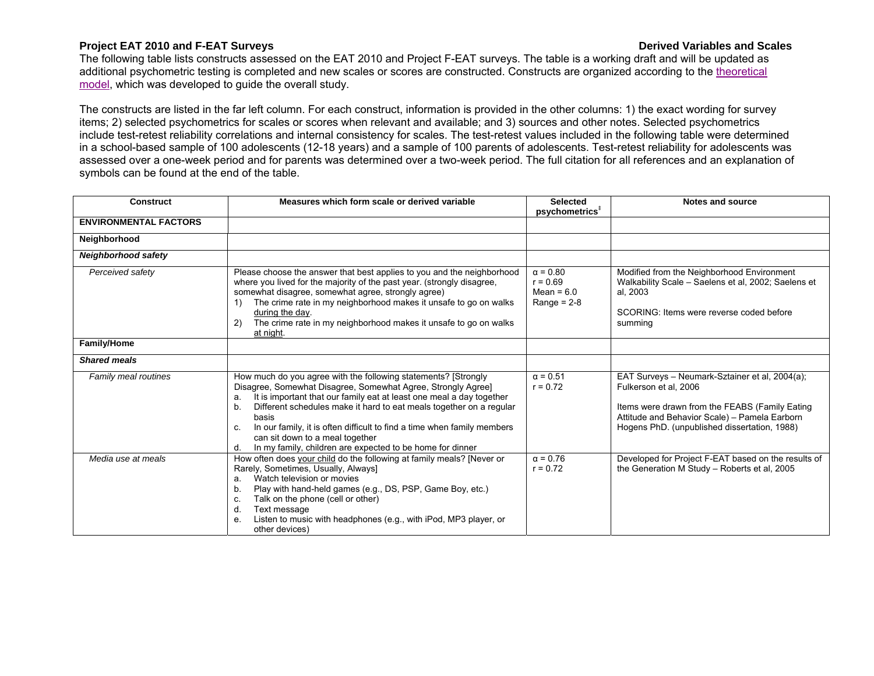## **Project EAT 2010 and F-EAT Surveys Derived Variables and Scales**

The following table lists constructs assessed on the EAT 2010 and Project F-EAT surveys. The table is a working draft and will be updated as [additional psychometric testing is completed and new scales or scores are constructed. Constructs are organized according to the theoretical](http://docs.sph.umn.edu/EpiCH/EAT/Figure-1.jpg) model, which was developed to guide the overall study.

The constructs are listed in the far left column. For each construct, information is provided in the other columns: 1) the exact wording for survey items; 2) selected psychometrics for scales or scores when relevant and available; and 3) sources and other notes. Selected psychometrics include test-retest reliability correlations and internal consistency for scales. The test-retest values included in the following table were determined in a school-based sample of 100 adolescents (12-18 years) and a sample of 100 parents of adolescents. Test-retest reliability for adolescents was assessed over a one-week period and for parents was determined over a two-week period. The full citation for all references and an explanation of symbols can be found at the end of the table.

| <b>Construct</b>             | Measures which form scale or derived variable                                                                                                                                                                                                                                                                                                                                                                                                                                             | <b>Selected</b>                                                | <b>Notes and source</b>                                                                                                                                                                                                    |
|------------------------------|-------------------------------------------------------------------------------------------------------------------------------------------------------------------------------------------------------------------------------------------------------------------------------------------------------------------------------------------------------------------------------------------------------------------------------------------------------------------------------------------|----------------------------------------------------------------|----------------------------------------------------------------------------------------------------------------------------------------------------------------------------------------------------------------------------|
|                              |                                                                                                                                                                                                                                                                                                                                                                                                                                                                                           | psychometrics <sup>#</sup>                                     |                                                                                                                                                                                                                            |
| <b>ENVIRONMENTAL FACTORS</b> |                                                                                                                                                                                                                                                                                                                                                                                                                                                                                           |                                                                |                                                                                                                                                                                                                            |
| Neighborhood                 |                                                                                                                                                                                                                                                                                                                                                                                                                                                                                           |                                                                |                                                                                                                                                                                                                            |
| <b>Neighborhood safety</b>   |                                                                                                                                                                                                                                                                                                                                                                                                                                                                                           |                                                                |                                                                                                                                                                                                                            |
| Perceived safety             | Please choose the answer that best applies to you and the neighborhood<br>where you lived for the majority of the past year. (strongly disagree,<br>somewhat disagree, somewhat agree, strongly agree)<br>The crime rate in my neighborhood makes it unsafe to go on walks<br>1)<br>during the day.<br>The crime rate in my neighborhood makes it unsafe to go on walks<br>2)<br>at night.                                                                                                | $\alpha = 0.80$<br>$r = 0.69$<br>Mean = $6.0$<br>Range = $2-8$ | Modified from the Neighborhood Environment<br>Walkability Scale - Saelens et al, 2002; Saelens et<br>al, 2003<br>SCORING: Items were reverse coded before<br>summing                                                       |
| Family/Home                  |                                                                                                                                                                                                                                                                                                                                                                                                                                                                                           |                                                                |                                                                                                                                                                                                                            |
| <b>Shared meals</b>          |                                                                                                                                                                                                                                                                                                                                                                                                                                                                                           |                                                                |                                                                                                                                                                                                                            |
| Family meal routines         | How much do you agree with the following statements? [Strongly<br>Disagree, Somewhat Disagree, Somewhat Agree, Strongly Agree]<br>It is important that our family eat at least one meal a day together<br>a.<br>Different schedules make it hard to eat meals together on a regular<br>b.<br>basis<br>In our family, it is often difficult to find a time when family members<br>C.<br>can sit down to a meal together<br>In my family, children are expected to be home for dinner<br>d. | $\alpha = 0.51$<br>$r = 0.72$                                  | EAT Surveys - Neumark-Sztainer et al, 2004(a);<br>Fulkerson et al. 2006<br>Items were drawn from the FEABS (Family Eating<br>Attitude and Behavior Scale) - Pamela Earborn<br>Hogens PhD. (unpublished dissertation, 1988) |
| Media use at meals           | How often does your child do the following at family meals? [Never or<br>Rarely, Sometimes, Usually, Always]<br>Watch television or movies<br>a.<br>Play with hand-held games (e.g., DS, PSP, Game Boy, etc.)<br>b.<br>Talk on the phone (cell or other)<br>C.<br>d.<br>Text message<br>Listen to music with headphones (e.g., with iPod, MP3 player, or<br>е.<br>other devices)                                                                                                          | $\alpha = 0.76$<br>$r = 0.72$                                  | Developed for Project F-EAT based on the results of<br>the Generation M Study - Roberts et al, 2005                                                                                                                        |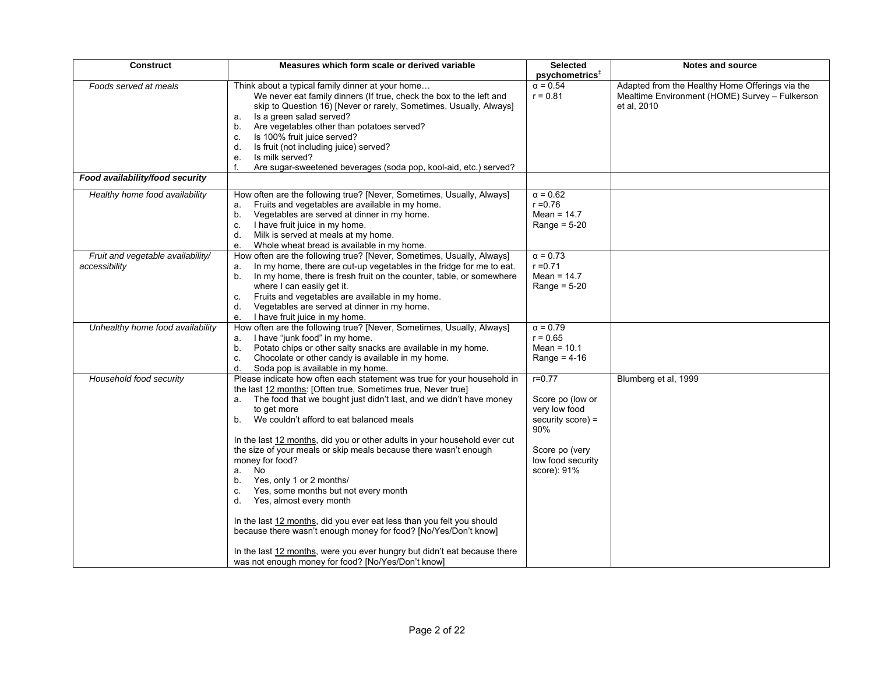| <b>Construct</b>                                   | Measures which form scale or derived variable                                                                                                                                                                                                                                                                                                                                                                                                                                                                                                                                                                                                                                                                                                                                                                                                                    | <b>Selected</b>                                                                                                                   | Notes and source                                                                                                 |
|----------------------------------------------------|------------------------------------------------------------------------------------------------------------------------------------------------------------------------------------------------------------------------------------------------------------------------------------------------------------------------------------------------------------------------------------------------------------------------------------------------------------------------------------------------------------------------------------------------------------------------------------------------------------------------------------------------------------------------------------------------------------------------------------------------------------------------------------------------------------------------------------------------------------------|-----------------------------------------------------------------------------------------------------------------------------------|------------------------------------------------------------------------------------------------------------------|
|                                                    |                                                                                                                                                                                                                                                                                                                                                                                                                                                                                                                                                                                                                                                                                                                                                                                                                                                                  | psychometrics <sup>#</sup>                                                                                                        |                                                                                                                  |
| Foods served at meals                              | Think about a typical family dinner at your home<br>We never eat family dinners (If true, check the box to the left and<br>skip to Question 16) [Never or rarely, Sometimes, Usually, Always]<br>Is a green salad served?<br>а.<br>Are vegetables other than potatoes served?<br>b.<br>Is 100% fruit juice served?<br>c.<br>Is fruit (not including juice) served?<br>d.<br>Is milk served?<br>e.<br>Are sugar-sweetened beverages (soda pop, kool-aid, etc.) served?                                                                                                                                                                                                                                                                                                                                                                                            | $\alpha = 0.54$<br>$r = 0.81$                                                                                                     | Adapted from the Healthy Home Offerings via the<br>Mealtime Environment (HOME) Survey - Fulkerson<br>et al. 2010 |
| Food availability/food security                    |                                                                                                                                                                                                                                                                                                                                                                                                                                                                                                                                                                                                                                                                                                                                                                                                                                                                  |                                                                                                                                   |                                                                                                                  |
| Healthy home food availability                     | How often are the following true? [Never, Sometimes, Usually, Always]<br>Fruits and vegetables are available in my home.<br>a.<br>Vegetables are served at dinner in my home.<br>b.<br>I have fruit juice in my home.<br>c.<br>Milk is served at meals at my home.<br>d.<br>Whole wheat bread is available in my home.<br>e.                                                                                                                                                                                                                                                                                                                                                                                                                                                                                                                                     | $\alpha = 0.62$<br>$r = 0.76$<br>Mean = $14.7$<br>Range = $5-20$                                                                  |                                                                                                                  |
| Fruit and vegetable availability/<br>accessibility | How often are the following true? [Never, Sometimes, Usually, Always]<br>In my home, there are cut-up vegetables in the fridge for me to eat.<br>a.<br>In my home, there is fresh fruit on the counter, table, or somewhere<br>b.<br>where I can easily get it.<br>Fruits and vegetables are available in my home.<br>с.<br>Vegetables are served at dinner in my home.<br>d.<br>I have fruit juice in my home.<br>е.                                                                                                                                                                                                                                                                                                                                                                                                                                            | $\alpha = 0.73$<br>$r = 0.71$<br>Mean = $14.7$<br>Range = $5-20$                                                                  |                                                                                                                  |
| Unhealthy home food availability                   | How often are the following true? [Never, Sometimes, Usually, Always]<br>I have "junk food" in my home.<br>а.<br>Potato chips or other salty snacks are available in my home.<br>b.<br>Chocolate or other candy is available in my home.<br>c.<br>d.<br>Soda pop is available in my home.                                                                                                                                                                                                                                                                                                                                                                                                                                                                                                                                                                        | $\alpha = 0.79$<br>$r = 0.65$<br>Mean = $10.1$<br>Range = $4-16$                                                                  |                                                                                                                  |
| Household food security                            | Please indicate how often each statement was true for your household in<br>the last 12 months: [Often true, Sometimes true, Never true]<br>The food that we bought just didn't last, and we didn't have money<br>a.<br>to get more<br>We couldn't afford to eat balanced meals<br>b.<br>In the last 12 months, did you or other adults in your household ever cut<br>the size of your meals or skip meals because there wasn't enough<br>money for food?<br>a. No<br>Yes, only 1 or 2 months/<br>b.<br>Yes, some months but not every month<br>c.<br>Yes, almost every month<br>d.<br>In the last 12 months, did you ever eat less than you felt you should<br>because there wasn't enough money for food? [No/Yes/Don't know]<br>In the last 12 months, were you ever hungry but didn't eat because there<br>was not enough money for food? [No/Yes/Don't know] | $r = 0.77$<br>Score po (low or<br>very low food<br>security score) =<br>90%<br>Score po (very<br>low food security<br>score): 91% | Blumberg et al, 1999                                                                                             |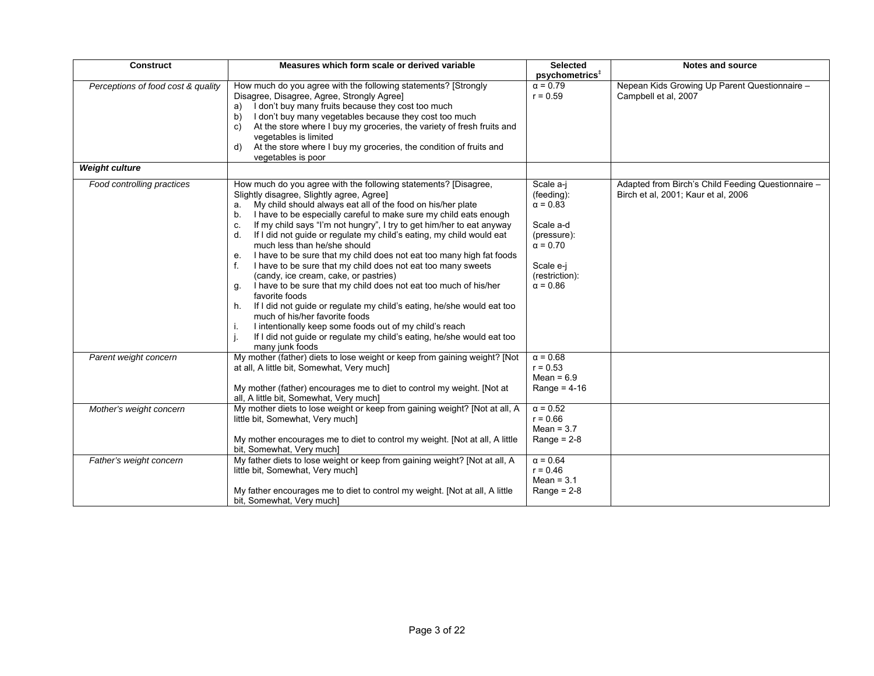| <b>Construct</b>                   | Measures which form scale or derived variable                                                                                                                                                                                                                                                                                                                                                                                                                                                                                                                                                                                                                                                                                                                                                                                                                                                                                                                                                                                | <b>Selected</b><br>psychometrics <sup>#</sup>                                                                                               | <b>Notes and source</b>                                                                   |
|------------------------------------|------------------------------------------------------------------------------------------------------------------------------------------------------------------------------------------------------------------------------------------------------------------------------------------------------------------------------------------------------------------------------------------------------------------------------------------------------------------------------------------------------------------------------------------------------------------------------------------------------------------------------------------------------------------------------------------------------------------------------------------------------------------------------------------------------------------------------------------------------------------------------------------------------------------------------------------------------------------------------------------------------------------------------|---------------------------------------------------------------------------------------------------------------------------------------------|-------------------------------------------------------------------------------------------|
| Perceptions of food cost & quality | How much do you agree with the following statements? [Strongly<br>Disagree, Disagree, Agree, Strongly Agree]<br>I don't buy many fruits because they cost too much<br>a)<br>I don't buy many vegetables because they cost too much<br>b)<br>At the store where I buy my groceries, the variety of fresh fruits and<br>C)<br>vegetables is limited<br>At the store where I buy my groceries, the condition of fruits and<br>d)<br>vegetables is poor                                                                                                                                                                                                                                                                                                                                                                                                                                                                                                                                                                          | $\alpha = 0.79$<br>$r = 0.59$                                                                                                               | Nepean Kids Growing Up Parent Questionnaire -<br>Campbell et al, 2007                     |
| <b>Weight culture</b>              |                                                                                                                                                                                                                                                                                                                                                                                                                                                                                                                                                                                                                                                                                                                                                                                                                                                                                                                                                                                                                              |                                                                                                                                             |                                                                                           |
| Food controlling practices         | How much do you agree with the following statements? [Disagree,<br>Slightly disagree, Slightly agree, Agree]<br>My child should always eat all of the food on his/her plate<br>a.<br>I have to be especially careful to make sure my child eats enough<br>b.<br>If my child says "I'm not hungry", I try to get him/her to eat anyway<br>C.<br>If I did not guide or regulate my child's eating, my child would eat<br>d.<br>much less than he/she should<br>I have to be sure that my child does not eat too many high fat foods<br>е.<br>I have to be sure that my child does not eat too many sweets<br>(candy, ice cream, cake, or pastries)<br>I have to be sure that my child does not eat too much of his/her<br>g.<br>favorite foods<br>If I did not guide or regulate my child's eating, he/she would eat too<br>h.<br>much of his/her favorite foods<br>I intentionally keep some foods out of my child's reach<br>Ι.<br>If I did not guide or regulate my child's eating, he/she would eat too<br>many junk foods | Scale a-j<br>(feeding):<br>$\alpha = 0.83$<br>Scale a-d<br>(pressure):<br>$\alpha = 0.70$<br>Scale e-j<br>(restriction):<br>$\alpha = 0.86$ | Adapted from Birch's Child Feeding Questionnaire -<br>Birch et al, 2001; Kaur et al, 2006 |
| Parent weight concern              | My mother (father) diets to lose weight or keep from gaining weight? [Not<br>at all, A little bit, Somewhat, Very much]<br>My mother (father) encourages me to diet to control my weight. [Not at<br>all, A little bit, Somewhat, Very much]                                                                                                                                                                                                                                                                                                                                                                                                                                                                                                                                                                                                                                                                                                                                                                                 | $\alpha = 0.68$<br>$r = 0.53$<br>Mean = $6.9$<br>Range = $4-16$                                                                             |                                                                                           |
| Mother's weight concern            | My mother diets to lose weight or keep from gaining weight? [Not at all, A<br>little bit, Somewhat, Very much]<br>My mother encourages me to diet to control my weight. [Not at all, A little<br>bit, Somewhat, Very much]                                                                                                                                                                                                                                                                                                                                                                                                                                                                                                                                                                                                                                                                                                                                                                                                   | $\alpha = 0.52$<br>$r = 0.66$<br>Mean = $3.7$<br>Range = $2-8$                                                                              |                                                                                           |
| Father's weight concern            | My father diets to lose weight or keep from gaining weight? [Not at all, A<br>little bit, Somewhat, Very much]<br>My father encourages me to diet to control my weight. [Not at all, A little<br>bit, Somewhat, Very much]                                                                                                                                                                                                                                                                                                                                                                                                                                                                                                                                                                                                                                                                                                                                                                                                   | $\alpha = 0.64$<br>$r = 0.46$<br>Mean = $3.1$<br>Range = $2-8$                                                                              |                                                                                           |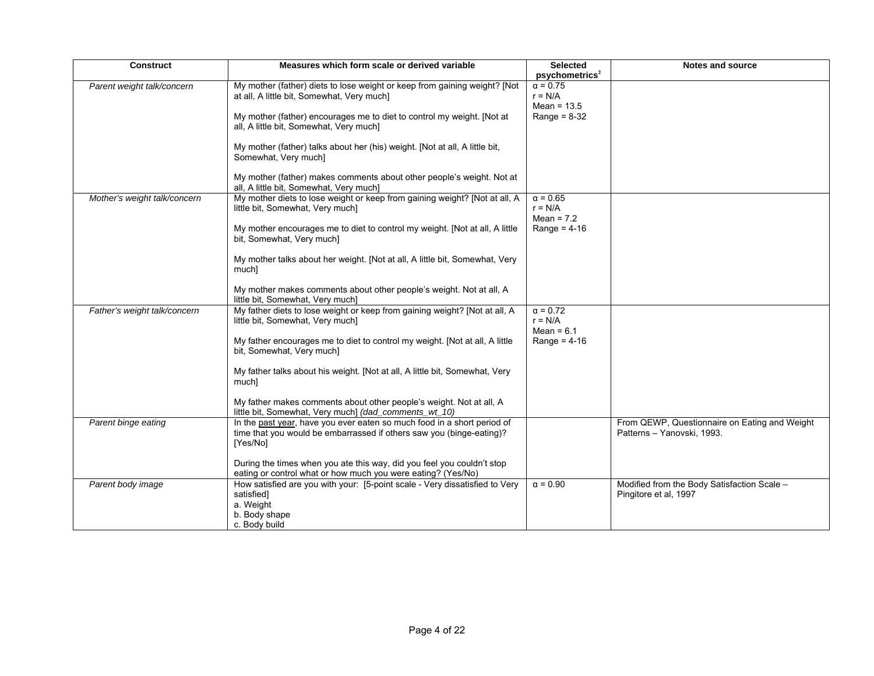| <b>Construct</b>             | Measures which form scale or derived variable                                                                                                                                                                                                                                                                                                                                                                                | <b>Selected</b><br>psychometrics <sup>#</sup>                   | <b>Notes and source</b>                                                     |
|------------------------------|------------------------------------------------------------------------------------------------------------------------------------------------------------------------------------------------------------------------------------------------------------------------------------------------------------------------------------------------------------------------------------------------------------------------------|-----------------------------------------------------------------|-----------------------------------------------------------------------------|
| Parent weight talk/concern   | My mother (father) diets to lose weight or keep from gaining weight? [Not<br>at all, A little bit, Somewhat, Very much]<br>My mother (father) encourages me to diet to control my weight. [Not at<br>all, A little bit, Somewhat, Very much]<br>My mother (father) talks about her (his) weight. [Not at all, A little bit,<br>Somewhat, Very much]<br>My mother (father) makes comments about other people's weight. Not at | $\alpha = 0.75$<br>$r = N/A$<br>Mean = $13.5$<br>Range = $8-32$ |                                                                             |
|                              | all, A little bit, Somewhat, Very much]                                                                                                                                                                                                                                                                                                                                                                                      |                                                                 |                                                                             |
| Mother's weight talk/concern | My mother diets to lose weight or keep from gaining weight? [Not at all, A<br>little bit, Somewhat, Very much]<br>My mother encourages me to diet to control my weight. [Not at all, A little<br>bit, Somewhat, Very much]<br>My mother talks about her weight. [Not at all, A little bit, Somewhat, Very<br>much]                                                                                                           | $\alpha = 0.65$<br>$r = N/A$<br>Mean = $7.2$<br>Range = $4-16$  |                                                                             |
|                              | My mother makes comments about other people's weight. Not at all, A<br>little bit, Somewhat, Very much]                                                                                                                                                                                                                                                                                                                      |                                                                 |                                                                             |
| Father's weight talk/concern | My father diets to lose weight or keep from gaining weight? [Not at all, A<br>little bit, Somewhat, Very much]<br>My father encourages me to diet to control my weight. [Not at all, A little<br>bit, Somewhat, Very much]<br>My father talks about his weight. [Not at all, A little bit, Somewhat, Very<br>much]<br>My father makes comments about other people's weight. Not at all, A                                    | $\alpha = 0.72$<br>$r = N/A$<br>Mean = $6.1$<br>Range = $4-16$  |                                                                             |
| Parent binge eating          | little bit, Somewhat, Very much] (dad_comments_wt_10)<br>In the past year, have you ever eaten so much food in a short period of<br>time that you would be embarrassed if others saw you (binge-eating)?<br>[Yes/No]<br>During the times when you ate this way, did you feel you couldn't stop<br>eating or control what or how much you were eating? (Yes/No)                                                               |                                                                 | From QEWP, Questionnaire on Eating and Weight<br>Patterns - Yanovski, 1993. |
| Parent body image            | How satisfied are you with your: [5-point scale - Very dissatisfied to Very<br>satisfied]<br>a. Weight<br>b. Body shape<br>c. Body build                                                                                                                                                                                                                                                                                     | $\alpha = 0.90$                                                 | Modified from the Body Satisfaction Scale -<br>Pingitore et al, 1997        |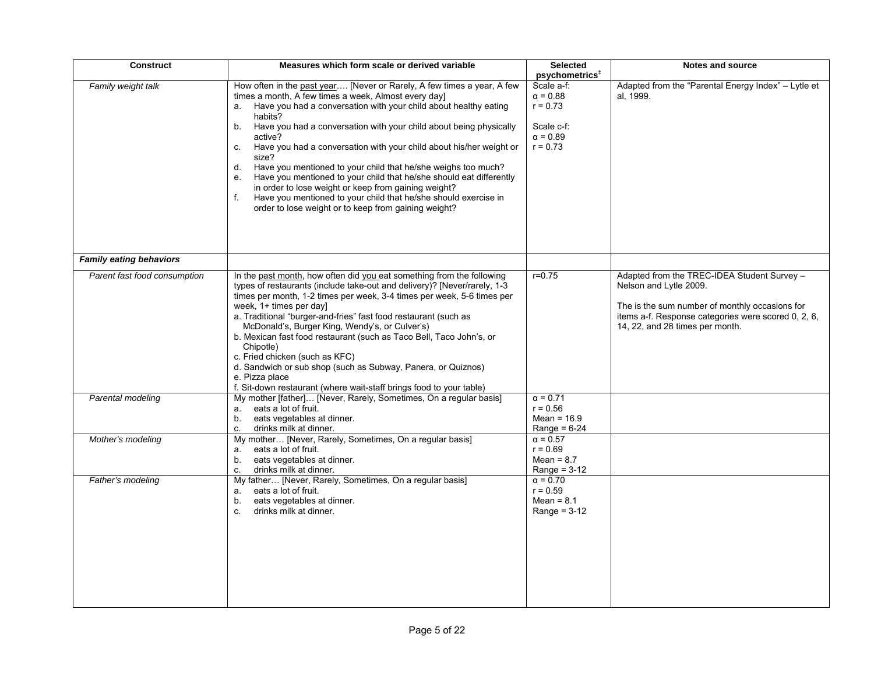| Construct                      | Measures which form scale or derived variable                                            | <b>Selected</b>                   | Notes and source                                    |
|--------------------------------|------------------------------------------------------------------------------------------|-----------------------------------|-----------------------------------------------------|
|                                |                                                                                          | psychometrics <sup>+</sup>        |                                                     |
| Family weight talk             | How often in the past year [Never or Rarely, A few times a year, A few                   | Scale a-f:                        | Adapted from the "Parental Energy Index" - Lytle et |
|                                | times a month, A few times a week, Almost every day]                                     | $\alpha = 0.88$                   | al. 1999.                                           |
|                                | Have you had a conversation with your child about healthy eating<br>a.                   | $r = 0.73$                        |                                                     |
|                                | habits?                                                                                  |                                   |                                                     |
|                                | Have you had a conversation with your child about being physically<br>b.                 | Scale c-f:                        |                                                     |
|                                | active?                                                                                  | $\alpha = 0.89$                   |                                                     |
|                                | Have you had a conversation with your child about his/her weight or<br>c.                | $r = 0.73$                        |                                                     |
|                                | size?                                                                                    |                                   |                                                     |
|                                | d.<br>Have you mentioned to your child that he/she weighs too much?                      |                                   |                                                     |
|                                | Have you mentioned to your child that he/she should eat differently<br>e.                |                                   |                                                     |
|                                | in order to lose weight or keep from gaining weight?                                     |                                   |                                                     |
|                                | Have you mentioned to your child that he/she should exercise in<br>f.                    |                                   |                                                     |
|                                | order to lose weight or to keep from gaining weight?                                     |                                   |                                                     |
|                                |                                                                                          |                                   |                                                     |
|                                |                                                                                          |                                   |                                                     |
|                                |                                                                                          |                                   |                                                     |
|                                |                                                                                          |                                   |                                                     |
| <b>Family eating behaviors</b> |                                                                                          |                                   |                                                     |
| Parent fast food consumption   | In the past month, how often did you eat something from the following                    | $r = 0.75$                        | Adapted from the TREC-IDEA Student Survey -         |
|                                | types of restaurants (include take-out and delivery)? [Never/rarely, 1-3                 |                                   | Nelson and Lytle 2009.                              |
|                                | times per month, 1-2 times per week, 3-4 times per week, 5-6 times per                   |                                   |                                                     |
|                                | week, 1+ times per day]                                                                  |                                   | The is the sum number of monthly occasions for      |
|                                | a. Traditional "burger-and-fries" fast food restaurant (such as                          |                                   | items a-f. Response categories were scored 0, 2, 6, |
|                                | McDonald's, Burger King, Wendy's, or Culver's)                                           |                                   | 14, 22, and 28 times per month.                     |
|                                | b. Mexican fast food restaurant (such as Taco Bell, Taco John's, or                      |                                   |                                                     |
|                                | Chipotle)                                                                                |                                   |                                                     |
|                                | c. Fried chicken (such as KFC)                                                           |                                   |                                                     |
|                                | d. Sandwich or sub shop (such as Subway, Panera, or Quiznos)                             |                                   |                                                     |
|                                | e. Pizza place                                                                           |                                   |                                                     |
|                                | f. Sit-down restaurant (where wait-staff brings food to your table)                      |                                   |                                                     |
| Parental modeling              | My mother [father] [Never, Rarely, Sometimes, On a regular basis]                        | $\alpha = 0.71$                   |                                                     |
|                                | eats a lot of fruit.<br>a.                                                               | $r = 0.56$                        |                                                     |
|                                | b.<br>eats vegetables at dinner.                                                         | Mean = $16.9$                     |                                                     |
|                                | drinks milk at dinner.<br>C.<br>My mother [Never, Rarely, Sometimes, On a regular basis] | Range = $6-24$<br>$\alpha = 0.57$ |                                                     |
| Mother's modeling              | eats a lot of fruit.<br>a.                                                               | $r = 0.69$                        |                                                     |
|                                | eats vegetables at dinner.<br>b.                                                         | Mean = $8.7$                      |                                                     |
|                                | drinks milk at dinner.<br>C.                                                             | Range = $3-12$                    |                                                     |
| Father's modeling              | My father [Never, Rarely, Sometimes, On a regular basis]                                 | $\alpha = 0.70$                   |                                                     |
|                                | eats a lot of fruit.<br>а.                                                               | $r = 0.59$                        |                                                     |
|                                | eats vegetables at dinner.<br>b.                                                         | Mean = $8.1$                      |                                                     |
|                                | drinks milk at dinner.<br>c.                                                             | Range = $3-12$                    |                                                     |
|                                |                                                                                          |                                   |                                                     |
|                                |                                                                                          |                                   |                                                     |
|                                |                                                                                          |                                   |                                                     |
|                                |                                                                                          |                                   |                                                     |
|                                |                                                                                          |                                   |                                                     |
|                                |                                                                                          |                                   |                                                     |
|                                |                                                                                          |                                   |                                                     |
|                                |                                                                                          |                                   |                                                     |
|                                |                                                                                          |                                   |                                                     |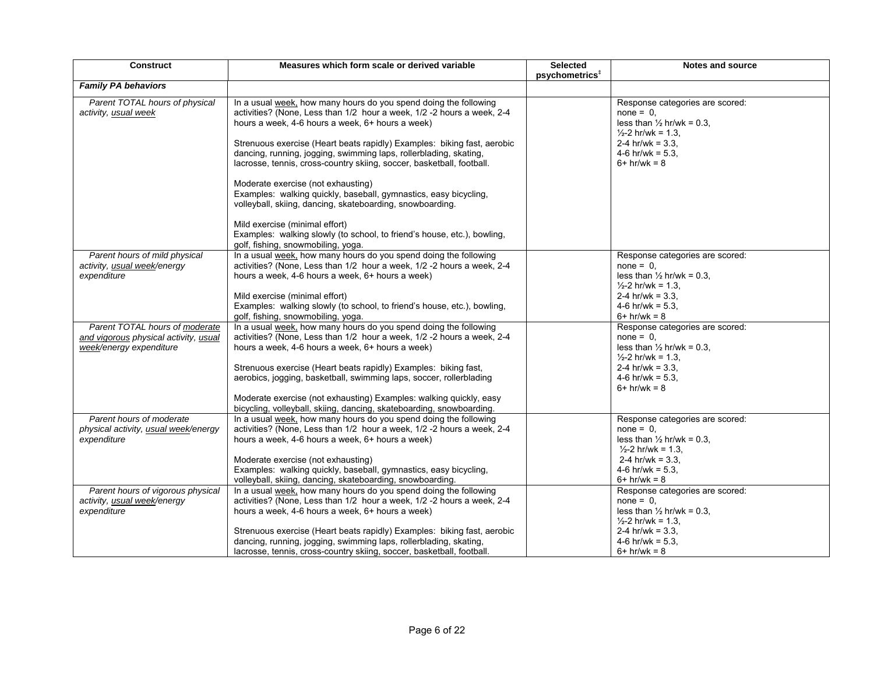| <b>Construct</b>                                                                                   | Measures which form scale or derived variable                                                                                                                                                                                                                                                                                                                                                                                                                                                                                                                                                                                                                                                                                                     | <b>Selected</b><br>$p$ sychometrics <sup><math>\ddagger</math></sup> | <b>Notes and source</b>                                                                                                                                                                  |
|----------------------------------------------------------------------------------------------------|---------------------------------------------------------------------------------------------------------------------------------------------------------------------------------------------------------------------------------------------------------------------------------------------------------------------------------------------------------------------------------------------------------------------------------------------------------------------------------------------------------------------------------------------------------------------------------------------------------------------------------------------------------------------------------------------------------------------------------------------------|----------------------------------------------------------------------|------------------------------------------------------------------------------------------------------------------------------------------------------------------------------------------|
| <b>Family PA behaviors</b>                                                                         |                                                                                                                                                                                                                                                                                                                                                                                                                                                                                                                                                                                                                                                                                                                                                   |                                                                      |                                                                                                                                                                                          |
| Parent TOTAL hours of physical<br>activity, usual week                                             | In a usual week, how many hours do you spend doing the following<br>activities? (None, Less than 1/2 hour a week, 1/2 -2 hours a week, 2-4<br>hours a week, 4-6 hours a week, 6+ hours a week)<br>Strenuous exercise (Heart beats rapidly) Examples: biking fast, aerobic<br>dancing, running, jogging, swimming laps, rollerblading, skating,<br>lacrosse, tennis, cross-country skiing, soccer, basketball, football.<br>Moderate exercise (not exhausting)<br>Examples: walking quickly, baseball, gymnastics, easy bicycling,<br>volleyball, skiing, dancing, skateboarding, snowboarding.<br>Mild exercise (minimal effort)<br>Examples: walking slowly (to school, to friend's house, etc.), bowling,<br>golf, fishing, snowmobiling, yoga. |                                                                      | Response categories are scored:<br>$none = 0$ ,<br>less than $\frac{1}{2}$ hr/wk = 0.3,<br>$\frac{1}{2}$ -2 hr/wk = 1.3,<br>2-4 hr/wk = $3.3$ .<br>4-6 hr/wk = $5.3$ ,<br>$6+hr/wk = 8$  |
| Parent hours of mild physical<br>activity, usual week/energy<br>expenditure                        | In a usual week, how many hours do you spend doing the following<br>activities? (None, Less than 1/2 hour a week, 1/2 -2 hours a week, 2-4<br>hours a week, 4-6 hours a week, 6+ hours a week)<br>Mild exercise (minimal effort)<br>Examples: walking slowly (to school, to friend's house, etc.), bowling,<br>golf, fishing, snowmobiling, yoga.                                                                                                                                                                                                                                                                                                                                                                                                 |                                                                      | Response categories are scored:<br>$none = 0.$<br>less than $\frac{1}{2}$ hr/wk = 0.3,<br>$\frac{1}{2}$ -2 hr/wk = 1.3,<br>2-4 hr/wk = $3.3$<br>4-6 hr/wk = $5.3$<br>$6+hr/wk = 8$       |
| Parent TOTAL hours of moderate<br>and vigorous physical activity, usual<br>week/energy expenditure | In a usual week, how many hours do you spend doing the following<br>activities? (None, Less than 1/2 hour a week, 1/2 -2 hours a week, 2-4<br>hours a week, 4-6 hours a week, 6+ hours a week)<br>Strenuous exercise (Heart beats rapidly) Examples: biking fast,<br>aerobics, jogging, basketball, swimming laps, soccer, rollerblading<br>Moderate exercise (not exhausting) Examples: walking quickly, easy<br>bicycling, volleyball, skiing, dancing, skateboarding, snowboarding.                                                                                                                                                                                                                                                            |                                                                      | Response categories are scored:<br>$none = 0$ ,<br>less than $\frac{1}{2}$ hr/wk = 0.3,<br>$\frac{1}{2}$ -2 hr/wk = 1.3,<br>2-4 hr/wk = $3.3$ .<br>4-6 hr/wk = $5.3$ .<br>$6+$ hr/wk = 8 |
| Parent hours of moderate<br>physical activity, usual week/energy<br>expenditure                    | In a usual week, how many hours do you spend doing the following<br>activities? (None, Less than 1/2 hour a week, 1/2 -2 hours a week, 2-4<br>hours a week, 4-6 hours a week, 6+ hours a week)<br>Moderate exercise (not exhausting)<br>Examples: walking quickly, baseball, gymnastics, easy bicycling,<br>volleyball, skiing, dancing, skateboarding, snowboarding.                                                                                                                                                                                                                                                                                                                                                                             |                                                                      | Response categories are scored:<br>$none = 0.$<br>less than $\frac{1}{2}$ hr/wk = 0.3.<br>$\frac{1}{2}$ -2 hr/wk = 1.3,<br>2-4 hr/wk = $3.3$ ,<br>4-6 hr/wk = $5.3$ ,<br>$6+$ hr/wk = 8  |
| Parent hours of vigorous physical<br>activity, usual week/energy<br>expenditure                    | In a usual week, how many hours do you spend doing the following<br>activities? (None, Less than 1/2 hour a week, 1/2 -2 hours a week, 2-4<br>hours a week, 4-6 hours a week, 6+ hours a week)<br>Strenuous exercise (Heart beats rapidly) Examples: biking fast, aerobic<br>dancing, running, jogging, swimming laps, rollerblading, skating,<br>lacrosse, tennis, cross-country skiing, soccer, basketball, football.                                                                                                                                                                                                                                                                                                                           |                                                                      | Response categories are scored:<br>$none = 0$ ,<br>less than $\frac{1}{2}$ hr/wk = 0.3,<br>$\frac{1}{2}$ -2 hr/wk = 1.3.<br>2-4 hr/wk = $3.3$ ,<br>4-6 hr/wk = $5.3$ ,<br>$6+$ hr/wk = 8 |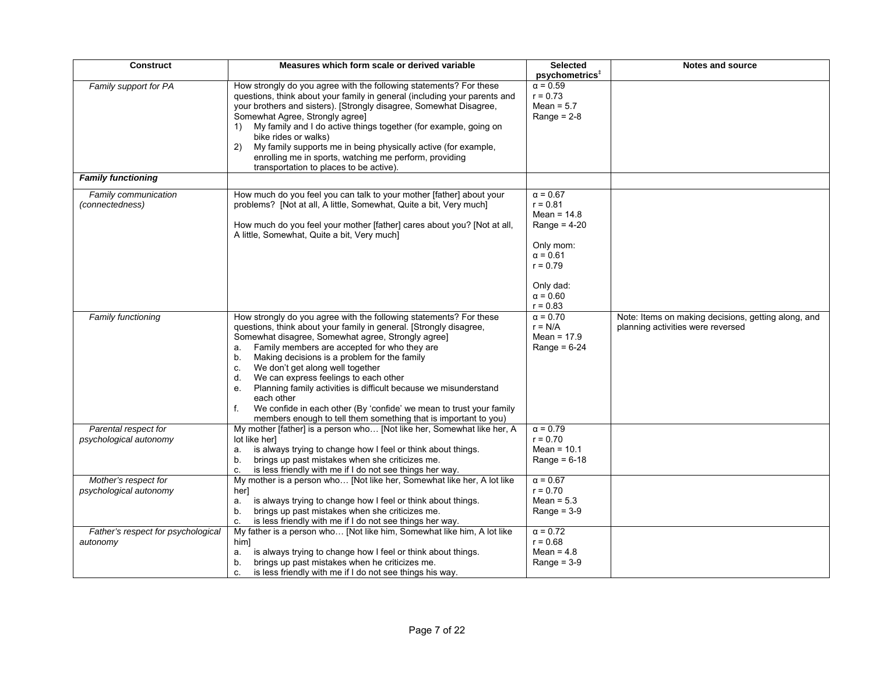| <b>Construct</b>                               | Measures which form scale or derived variable                                                                                                                                                                                                                                                                                                                                                                                                                                                                                                                                                                                         | <b>Selected</b><br>psychometrics <sup>+</sup>                                                                                                                | <b>Notes and source</b>                                                                  |
|------------------------------------------------|---------------------------------------------------------------------------------------------------------------------------------------------------------------------------------------------------------------------------------------------------------------------------------------------------------------------------------------------------------------------------------------------------------------------------------------------------------------------------------------------------------------------------------------------------------------------------------------------------------------------------------------|--------------------------------------------------------------------------------------------------------------------------------------------------------------|------------------------------------------------------------------------------------------|
| Family support for PA                          | How strongly do you agree with the following statements? For these<br>questions, think about your family in general (including your parents and<br>your brothers and sisters). [Strongly disagree, Somewhat Disagree,<br>Somewhat Agree, Strongly agree]<br>1) My family and I do active things together (for example, going on<br>bike rides or walks)<br>My family supports me in being physically active (for example,<br>2)<br>enrolling me in sports, watching me perform, providing<br>transportation to places to be active).                                                                                                  | $\alpha = 0.59$<br>$r = 0.73$<br>Mean = $5.7$<br>Range = $2-8$                                                                                               |                                                                                          |
| <b>Family functioning</b>                      |                                                                                                                                                                                                                                                                                                                                                                                                                                                                                                                                                                                                                                       |                                                                                                                                                              |                                                                                          |
| Family communication<br>(connectedness)        | How much do you feel you can talk to your mother [father] about your<br>problems? [Not at all, A little, Somewhat, Quite a bit, Very much]<br>How much do you feel your mother [father] cares about you? [Not at all,<br>A little, Somewhat, Quite a bit, Very much]                                                                                                                                                                                                                                                                                                                                                                  | $\alpha = 0.67$<br>$r = 0.81$<br>Mean = $14.8$<br>Range = $4-20$<br>Only mom:<br>$\alpha = 0.61$<br>$r = 0.79$<br>Only dad:<br>$\alpha = 0.60$<br>$r = 0.83$ |                                                                                          |
| <b>Family functioning</b>                      | How strongly do you agree with the following statements? For these<br>questions, think about your family in general. [Strongly disagree,<br>Somewhat disagree, Somewhat agree, Strongly agree]<br>Family members are accepted for who they are<br>a.<br>Making decisions is a problem for the family<br>b.<br>We don't get along well together<br>C.<br>We can express feelings to each other<br>d.<br>Planning family activities is difficult because we misunderstand<br>е.<br>each other<br>We confide in each other (By 'confide' we mean to trust your family<br>members enough to tell them something that is important to you) | $\alpha = 0.70$<br>$r = N/A$<br>Mean = $17.9$<br>Range = $6-24$                                                                                              | Note: Items on making decisions, getting along, and<br>planning activities were reversed |
| Parental respect for<br>psychological autonomy | My mother [father] is a person who [Not like her, Somewhat like her, A<br>lot like her]<br>is always trying to change how I feel or think about things.<br>a.<br>brings up past mistakes when she criticizes me.<br>b.<br>is less friendly with me if I do not see things her way.<br>c.                                                                                                                                                                                                                                                                                                                                              | $\alpha = 0.79$<br>$r = 0.70$<br>Mean = $10.1$<br>Range = $6-18$                                                                                             |                                                                                          |
| Mother's respect for<br>psychological autonomy | My mother is a person who [Not like her, Somewhat like her, A lot like<br>her]<br>is always trying to change how I feel or think about things.<br>a.<br>brings up past mistakes when she criticizes me.<br>b.<br>is less friendly with me if I do not see things her way.<br>C.                                                                                                                                                                                                                                                                                                                                                       | $\alpha = 0.67$<br>$r = 0.70$<br>Mean = $5.3$<br>Range = $3-9$                                                                                               |                                                                                          |
| Father's respect for psychological<br>autonomy | My father is a person who [Not like him, Somewhat like him, A lot like<br>him]<br>is always trying to change how I feel or think about things.<br>а.<br>brings up past mistakes when he criticizes me.<br>b.<br>is less friendly with me if I do not see things his way.<br>C.                                                                                                                                                                                                                                                                                                                                                        | $\alpha = 0.72$<br>$r = 0.68$<br>Mean = $4.8$<br>Range = $3-9$                                                                                               |                                                                                          |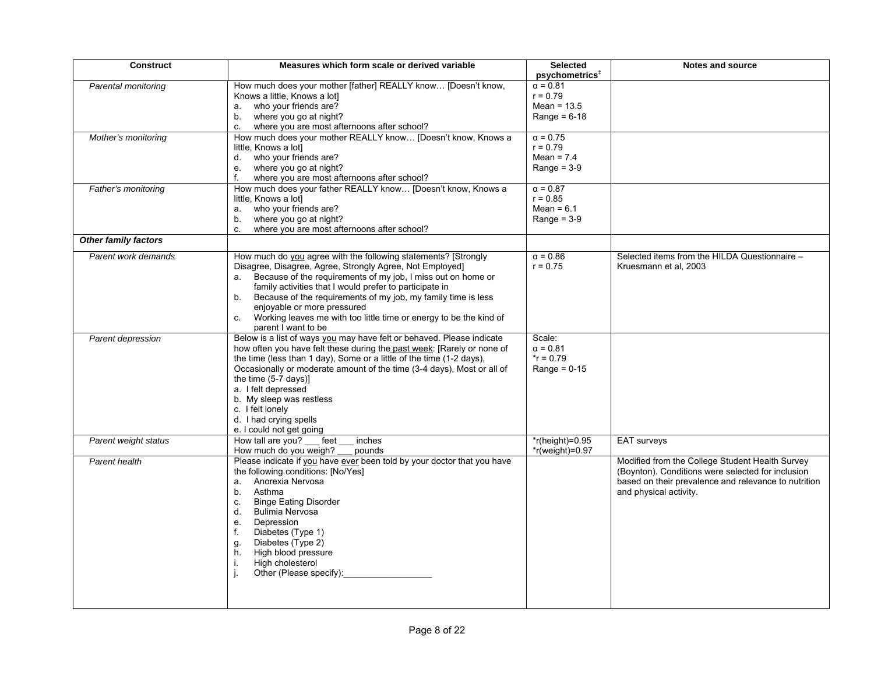| <b>Construct</b>     | Measures which form scale or derived variable                           | <b>Selected</b>            | <b>Notes and source</b>                              |
|----------------------|-------------------------------------------------------------------------|----------------------------|------------------------------------------------------|
|                      |                                                                         | psychometrics <sup>#</sup> |                                                      |
| Parental monitoring  | How much does your mother [father] REALLY know [Doesn't know,           | $\alpha = 0.81$            |                                                      |
|                      | Knows a little, Knows a lot]                                            | $r = 0.79$                 |                                                      |
|                      | a. who your friends are?                                                | Mean = $13.5$              |                                                      |
|                      | b. where you go at night?                                               | Range = $6-18$             |                                                      |
|                      | $c_{-}$<br>where you are most afternoons after school?                  |                            |                                                      |
| Mother's monitoring  | How much does your mother REALLY know [Doesn't know, Knows a            | $\alpha = 0.75$            |                                                      |
|                      | little, Knows a lot]                                                    | $r = 0.79$                 |                                                      |
|                      | d. who your friends are?                                                | Mean = $7.4$               |                                                      |
|                      | e. where you go at night?                                               | Range = $3-9$              |                                                      |
|                      | f.<br>where you are most afternoons after school?                       |                            |                                                      |
| Father's monitoring  | How much does your father REALLY know [Doesn't know, Knows a            | $\alpha = 0.87$            |                                                      |
|                      | little, Knows a lot]                                                    | $r = 0.85$                 |                                                      |
|                      | a. who your friends are?                                                | Mean = $6.1$               |                                                      |
|                      | where you go at night?<br>b.                                            | Range = $3-9$              |                                                      |
|                      | where you are most afternoons after school?<br>C.                       |                            |                                                      |
| Other family factors |                                                                         |                            |                                                      |
|                      |                                                                         |                            |                                                      |
| Parent work demands  | How much do you agree with the following statements? [Strongly          | $\alpha = 0.86$            | Selected items from the HILDA Questionnaire -        |
|                      | Disagree, Disagree, Agree, Strongly Agree, Not Employed]                | $r = 0.75$                 | Kruesmann et al, 2003                                |
|                      | a. Because of the requirements of my job, I miss out on home or         |                            |                                                      |
|                      | family activities that I would prefer to participate in                 |                            |                                                      |
|                      | b. Because of the requirements of my job, my family time is less        |                            |                                                      |
|                      | enjoyable or more pressured                                             |                            |                                                      |
|                      | Working leaves me with too little time or energy to be the kind of      |                            |                                                      |
|                      | parent I want to be                                                     |                            |                                                      |
| Parent depression    | Below is a list of ways you may have felt or behaved. Please indicate   | Scale:                     |                                                      |
|                      | how often you have felt these during the past week: [Rarely or none of  | $\alpha = 0.81$            |                                                      |
|                      | the time (less than 1 day), Some or a little of the time (1-2 days),    | $*$ r = 0.79               |                                                      |
|                      | Occasionally or moderate amount of the time (3-4 days), Most or all of  | Range = $0-15$             |                                                      |
|                      | the time $(5-7 \text{ days})$                                           |                            |                                                      |
|                      | a. I felt depressed                                                     |                            |                                                      |
|                      | b. My sleep was restless                                                |                            |                                                      |
|                      | c. I felt lonely                                                        |                            |                                                      |
|                      | d. I had crying spells                                                  |                            |                                                      |
|                      | e. I could not get going                                                |                            |                                                      |
| Parent weight status | How tall are you?<br>feet<br>inches                                     | $*$ r(height)=0.95         | <b>EAT</b> surveys                                   |
|                      | How much do you weigh?<br>pounds                                        | $*$ r(weight)=0.97         |                                                      |
| Parent health        | Please indicate if you have ever been told by your doctor that you have |                            | Modified from the College Student Health Survey      |
|                      | the following conditions: [No/Yes]                                      |                            | (Boynton). Conditions were selected for inclusion    |
|                      | a. Anorexia Nervosa                                                     |                            | based on their prevalence and relevance to nutrition |
|                      | b <sub>1</sub><br>Asthma                                                |                            | and physical activity.                               |
|                      | <b>Binge Eating Disorder</b><br>C.                                      |                            |                                                      |
|                      | <b>Bulimia Nervosa</b><br>d.                                            |                            |                                                      |
|                      | Depression<br>e.                                                        |                            |                                                      |
|                      | Diabetes (Type 1)<br>f.                                                 |                            |                                                      |
|                      | Diabetes (Type 2)<br>g.                                                 |                            |                                                      |
|                      | High blood pressure<br>h.                                               |                            |                                                      |
|                      | High cholesterol<br>i.                                                  |                            |                                                      |
|                      | Other (Please specify):                                                 |                            |                                                      |
|                      |                                                                         |                            |                                                      |
|                      |                                                                         |                            |                                                      |
|                      |                                                                         |                            |                                                      |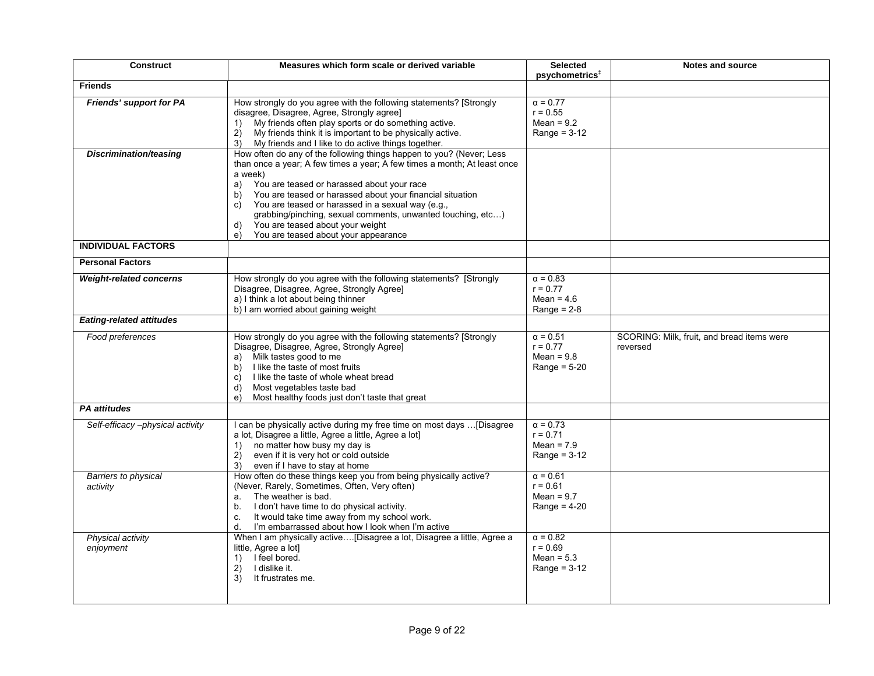| <b>Construct</b>                                     | Measures which form scale or derived variable                                                                                                                                                                                                                                                                                                                                                                                                                                                        | <b>Selected</b><br>psychometrics <sup>+</sup>                   | <b>Notes and source</b>                                |
|------------------------------------------------------|------------------------------------------------------------------------------------------------------------------------------------------------------------------------------------------------------------------------------------------------------------------------------------------------------------------------------------------------------------------------------------------------------------------------------------------------------------------------------------------------------|-----------------------------------------------------------------|--------------------------------------------------------|
| <b>Friends</b>                                       |                                                                                                                                                                                                                                                                                                                                                                                                                                                                                                      |                                                                 |                                                        |
| <b>Friends' support for PA</b>                       | How strongly do you agree with the following statements? [Strongly<br>disagree, Disagree, Agree, Strongly agree]<br>My friends often play sports or do something active.<br>1)<br>My friends think it is important to be physically active.<br>2)<br>My friends and I like to do active things together.<br>3)                                                                                                                                                                                       | $\alpha$ = 0.77<br>$r = 0.55$<br>Mean = $9.2$<br>Range = $3-12$ |                                                        |
| <b>Discrimination/teasing</b>                        | How often do any of the following things happen to you? (Never; Less<br>than once a year; A few times a year; A few times a month; At least once<br>a week)<br>You are teased or harassed about your race<br>a)<br>You are teased or harassed about your financial situation<br>b)<br>You are teased or harassed in a sexual way (e.g.,<br>C)<br>grabbing/pinching, sexual comments, unwanted touching, etc)<br>You are teased about your weight<br>d)<br>You are teased about your appearance<br>e) |                                                                 |                                                        |
| <b>INDIVIDUAL FACTORS</b><br><b>Personal Factors</b> |                                                                                                                                                                                                                                                                                                                                                                                                                                                                                                      |                                                                 |                                                        |
| <b>Weight-related concerns</b>                       | How strongly do you agree with the following statements? [Strongly<br>Disagree, Disagree, Agree, Strongly Agree]<br>a) I think a lot about being thinner<br>b) I am worried about gaining weight                                                                                                                                                                                                                                                                                                     | $\alpha = 0.83$<br>$r = 0.77$<br>Mean = $4.6$<br>Range = $2-8$  |                                                        |
| <b>Eating-related attitudes</b>                      |                                                                                                                                                                                                                                                                                                                                                                                                                                                                                                      |                                                                 |                                                        |
| Food preferences                                     | How strongly do you agree with the following statements? [Strongly<br>Disagree, Disagree, Agree, Strongly Agree]<br>a) Milk tastes good to me<br>I like the taste of most fruits<br>b)<br>I like the taste of whole wheat bread<br>C)<br>d)<br>Most vegetables taste bad<br>Most healthy foods just don't taste that great<br>e)                                                                                                                                                                     | $\alpha$ = 0.51<br>$r = 0.77$<br>Mean = $9.8$<br>Range = $5-20$ | SCORING: Milk, fruit, and bread items were<br>reversed |
| <b>PA attitudes</b>                                  |                                                                                                                                                                                                                                                                                                                                                                                                                                                                                                      |                                                                 |                                                        |
| Self-efficacy-physical activity                      | I can be physically active during my free time on most days  [Disagree<br>a lot, Disagree a little, Agree a little, Agree a lot]<br>no matter how busy my day is<br>1)<br>even if it is very hot or cold outside<br>2)<br>3)<br>even if I have to stay at home                                                                                                                                                                                                                                       | $\alpha = 0.73$<br>$r = 0.71$<br>Mean = $7.9$<br>Range = $3-12$ |                                                        |
| Barriers to physical<br>activity                     | How often do these things keep you from being physically active?<br>(Never, Rarely, Sometimes, Often, Very often)<br>The weather is bad.<br>а.<br>I don't have time to do physical activity.<br>b.<br>It would take time away from my school work.<br>$\mathbf{C}$ .<br>I'm embarrassed about how I look when I'm active<br>d.                                                                                                                                                                       | $\alpha = 0.61$<br>$r = 0.61$<br>Mean = $9.7$<br>Range = $4-20$ |                                                        |
| Physical activity<br>enjoyment                       | When I am physically active[Disagree a lot, Disagree a little, Agree a<br>little, Agree a lot]<br>1) I feel bored.<br>I dislike it.<br>2)<br>It frustrates me.<br>3)                                                                                                                                                                                                                                                                                                                                 | $\alpha = 0.82$<br>$r = 0.69$<br>Mean = $5.3$<br>Range = $3-12$ |                                                        |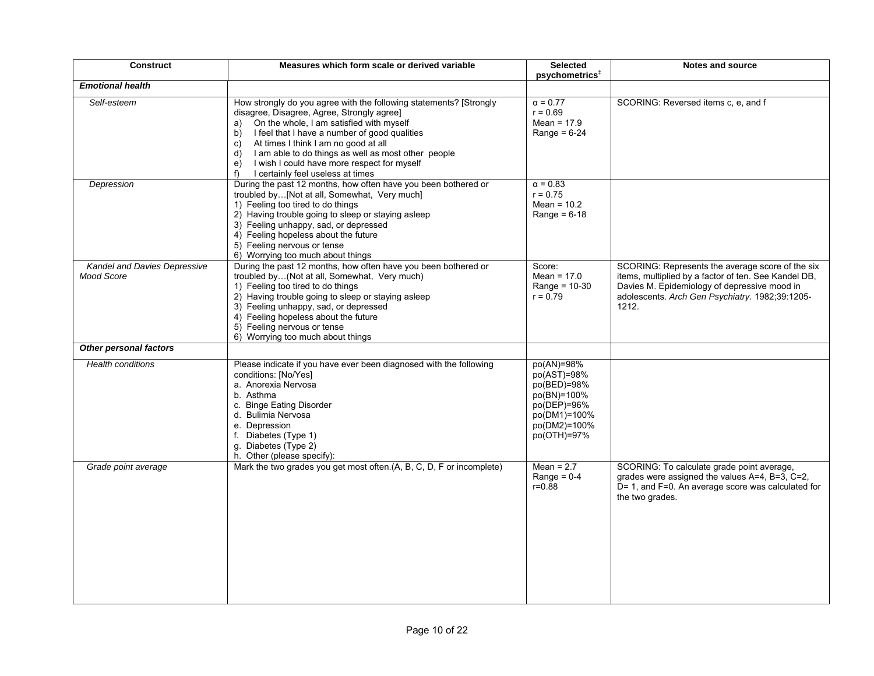| <b>Construct</b>                                  | Measures which form scale or derived variable                                                                                                                                                                                                                                                                                                                                                                                       | <b>Selected</b><br>psychometrics <sup>#</sup>                                                                           | <b>Notes and source</b>                                                                                                                                                                                              |
|---------------------------------------------------|-------------------------------------------------------------------------------------------------------------------------------------------------------------------------------------------------------------------------------------------------------------------------------------------------------------------------------------------------------------------------------------------------------------------------------------|-------------------------------------------------------------------------------------------------------------------------|----------------------------------------------------------------------------------------------------------------------------------------------------------------------------------------------------------------------|
| <b>Emotional health</b>                           |                                                                                                                                                                                                                                                                                                                                                                                                                                     |                                                                                                                         |                                                                                                                                                                                                                      |
| Self-esteem                                       | How strongly do you agree with the following statements? [Strongly<br>disagree, Disagree, Agree, Strongly agree]<br>On the whole, I am satisfied with myself<br>a)<br>I feel that I have a number of good qualities<br>b)<br>At times I think I am no good at all<br>C)<br>I am able to do things as well as most other people<br>d)<br>I wish I could have more respect for myself<br>e)<br>I certainly feel useless at times<br>f | $\alpha = 0.77$<br>$r = 0.69$<br>Mean = $17.9$<br>Range = $6-24$                                                        | SCORING: Reversed items c, e, and f                                                                                                                                                                                  |
| Depression                                        | During the past 12 months, how often have you been bothered or<br>troubled by [Not at all, Somewhat, Very much]<br>1) Feeling too tired to do things<br>2) Having trouble going to sleep or staying asleep<br>3) Feeling unhappy, sad, or depressed<br>4) Feeling hopeless about the future<br>5) Feeling nervous or tense<br>6) Worrying too much about things                                                                     | $\alpha = 0.83$<br>$r = 0.75$<br>Mean = $10.2$<br>Range = $6-18$                                                        |                                                                                                                                                                                                                      |
| Kandel and Davies Depressive<br><b>Mood Score</b> | During the past 12 months, how often have you been bothered or<br>troubled by(Not at all, Somewhat, Very much)<br>1) Feeling too tired to do things<br>2) Having trouble going to sleep or staying asleep<br>3) Feeling unhappy, sad, or depressed<br>4) Feeling hopeless about the future<br>5) Feeling nervous or tense<br>6) Worrying too much about things                                                                      | Score:<br>Mean = $17.0$<br>Range = $10-30$<br>$r = 0.79$                                                                | SCORING: Represents the average score of the six<br>items, multiplied by a factor of ten. See Kandel DB,<br>Davies M. Epidemiology of depressive mood in<br>adolescents. Arch Gen Psychiatry. 1982;39:1205-<br>1212. |
| <b>Other personal factors</b>                     |                                                                                                                                                                                                                                                                                                                                                                                                                                     |                                                                                                                         |                                                                                                                                                                                                                      |
| <b>Health conditions</b>                          | Please indicate if you have ever been diagnosed with the following<br>conditions: [No/Yes]<br>a. Anorexia Nervosa<br>b. Asthma<br>c. Binge Eating Disorder<br>d. Bulimia Nervosa<br>e. Depression<br>f. Diabetes (Type 1)<br>g. Diabetes (Type 2)<br>h. Other (please specify):                                                                                                                                                     | po(AN)=98%<br>po(AST)=98%<br>po(BED)=98%<br>po(BN)=100%<br>$po(DEP)=96%$<br>po(DM1)=100%<br>po(DM2)=100%<br>po(OTH)=97% |                                                                                                                                                                                                                      |
| Grade point average                               | Mark the two grades you get most often.(A, B, C, D, F or incomplete)                                                                                                                                                                                                                                                                                                                                                                | Mean = $2.7$<br>Range = $0-4$<br>$r = 0.88$                                                                             | SCORING: To calculate grade point average,<br>grades were assigned the values A=4, B=3, C=2,<br>D= 1, and F=0. An average score was calculated for<br>the two grades.                                                |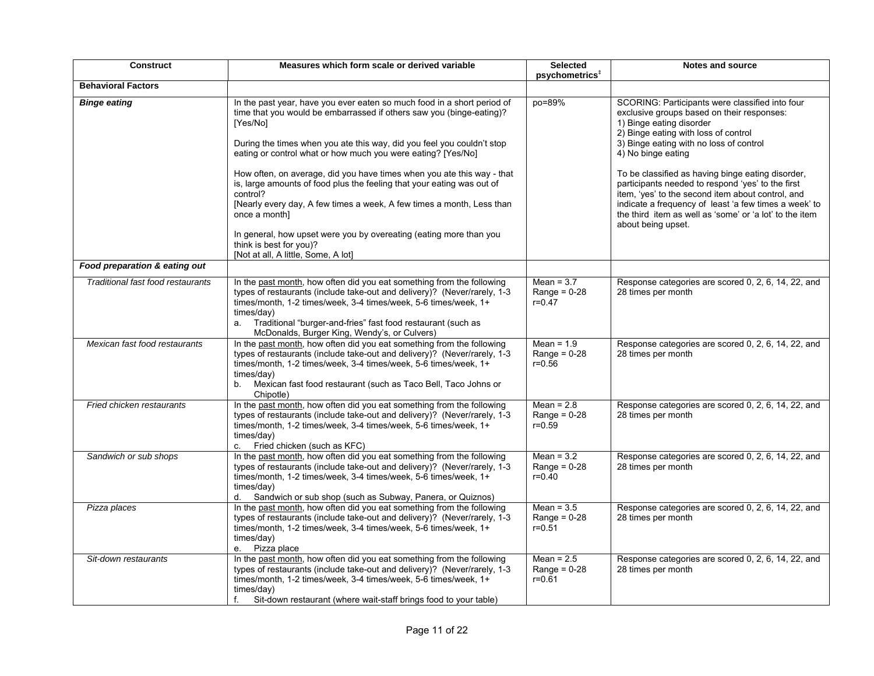| <b>Construct</b>                  | Measures which form scale or derived variable                                                                                                                                                                                                                                                                                                         | <b>Selected</b><br>psychometrics <sup>#</sup>        | <b>Notes and source</b>                                                                                                                                                                                                                                                                               |
|-----------------------------------|-------------------------------------------------------------------------------------------------------------------------------------------------------------------------------------------------------------------------------------------------------------------------------------------------------------------------------------------------------|------------------------------------------------------|-------------------------------------------------------------------------------------------------------------------------------------------------------------------------------------------------------------------------------------------------------------------------------------------------------|
| <b>Behavioral Factors</b>         |                                                                                                                                                                                                                                                                                                                                                       |                                                      |                                                                                                                                                                                                                                                                                                       |
| <b>Binge eating</b>               | In the past year, have you ever eaten so much food in a short period of<br>time that you would be embarrassed if others saw you (binge-eating)?<br>[Yes/No]                                                                                                                                                                                           | po=89%                                               | SCORING: Participants were classified into four<br>exclusive groups based on their responses:<br>1) Binge eating disorder<br>2) Binge eating with loss of control                                                                                                                                     |
|                                   | During the times when you ate this way, did you feel you couldn't stop<br>eating or control what or how much you were eating? [Yes/No]                                                                                                                                                                                                                |                                                      | 3) Binge eating with no loss of control<br>4) No binge eating                                                                                                                                                                                                                                         |
|                                   | How often, on average, did you have times when you ate this way - that<br>is, large amounts of food plus the feeling that your eating was out of<br>control?<br>[Nearly every day, A few times a week, A few times a month, Less than<br>once a month]                                                                                                |                                                      | To be classified as having binge eating disorder,<br>participants needed to respond 'yes' to the first<br>item, 'yes' to the second item about control, and<br>indicate a frequency of least 'a few times a week' to<br>the third item as well as 'some' or 'a lot' to the item<br>about being upset. |
|                                   | In general, how upset were you by overeating (eating more than you<br>think is best for you?<br>[Not at all, A little, Some, A lot]                                                                                                                                                                                                                   |                                                      |                                                                                                                                                                                                                                                                                                       |
| Food preparation & eating out     |                                                                                                                                                                                                                                                                                                                                                       |                                                      |                                                                                                                                                                                                                                                                                                       |
| Traditional fast food restaurants | In the past month, how often did you eat something from the following<br>types of restaurants (include take-out and delivery)? (Never/rarely, 1-3<br>times/month, 1-2 times/week, 3-4 times/week, 5-6 times/week, 1+<br>times/day)<br>a. Traditional "burger-and-fries" fast food restaurant (such as<br>McDonalds, Burger King, Wendy's, or Culvers) | Mean = $3.7$<br>Range = $0-28$<br>$r = 0.47$         | Response categories are scored 0, 2, 6, 14, 22, and<br>28 times per month                                                                                                                                                                                                                             |
| Mexican fast food restaurants     | In the past month, how often did you eat something from the following<br>types of restaurants (include take-out and delivery)? (Never/rarely, 1-3<br>times/month, 1-2 times/week, 3-4 times/week, 5-6 times/week, 1+<br>times/day)<br>Mexican fast food restaurant (such as Taco Bell, Taco Johns or<br>b.<br>Chipotle)                               | Mean = $1.9$<br>Range = $0-28$<br>$r = 0.56$         | Response categories are scored 0, 2, 6, 14, 22, and<br>28 times per month                                                                                                                                                                                                                             |
| Fried chicken restaurants         | In the past month, how often did you eat something from the following<br>types of restaurants (include take-out and delivery)? (Never/rarely, 1-3<br>times/month, 1-2 times/week, 3-4 times/week, 5-6 times/week, 1+<br>times/day)<br>c. Fried chicken (such as KFC)                                                                                  | Mean = $2.8$<br>Range = $0-28$<br>$r = 0.59$         | Response categories are scored 0, 2, 6, 14, 22, and<br>28 times per month                                                                                                                                                                                                                             |
| Sandwich or sub shops             | In the past month, how often did you eat something from the following<br>types of restaurants (include take-out and delivery)? (Never/rarely, 1-3<br>times/month, 1-2 times/week, 3-4 times/week, 5-6 times/week, 1+<br>times/day)<br>Sandwich or sub shop (such as Subway, Panera, or Quiznos)                                                       | Mean = $3.2$<br>Range = $0-28$<br>$r = 0.40$         | Response categories are scored 0, 2, 6, 14, 22, and<br>28 times per month                                                                                                                                                                                                                             |
| Pizza places                      | In the past month, how often did you eat something from the following<br>types of restaurants (include take-out and delivery)? (Never/rarely, 1-3<br>times/month, 1-2 times/week, 3-4 times/week, 5-6 times/week, 1+<br>times/day)<br>e. Pizza place                                                                                                  | Mean = $3.5$<br>Range = $0-28$<br>$r = 0.51$         | Response categories are scored 0, 2, 6, 14, 22, and<br>28 times per month                                                                                                                                                                                                                             |
| Sit-down restaurants              | In the past month, how often did you eat something from the following<br>types of restaurants (include take-out and delivery)? (Never/rarely, 1-3<br>times/month, 1-2 times/week, 3-4 times/week, 5-6 times/week, 1+<br>times/day)<br>Sit-down restaurant (where wait-staff brings food to your table)<br>f.                                          | Mean = $2.5$<br>Range = $0-28$<br>$r = 0.\check{6}1$ | Response categories are scored 0, 2, 6, 14, 22, and<br>28 times per month                                                                                                                                                                                                                             |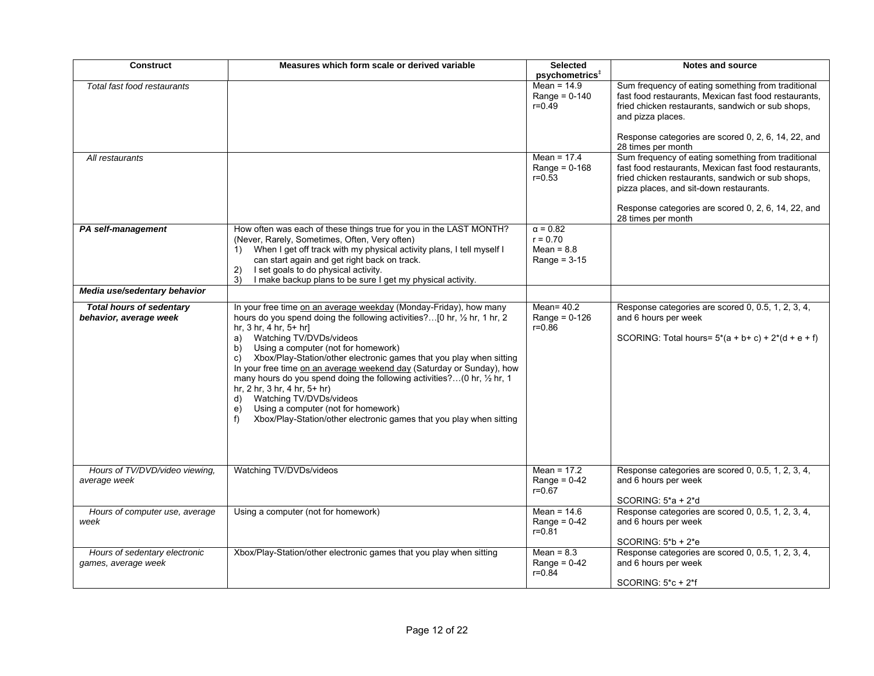| <b>Construct</b>                                          | Measures which form scale or derived variable                                                                                                                                                                                                                                                                                                                                                                                                                                                                                                                                                                                                                                                                 | <b>Selected</b><br>psychometrics <sup>#</sup>                   | <b>Notes and source</b>                                                                                                                                                                                                                                                                  |
|-----------------------------------------------------------|---------------------------------------------------------------------------------------------------------------------------------------------------------------------------------------------------------------------------------------------------------------------------------------------------------------------------------------------------------------------------------------------------------------------------------------------------------------------------------------------------------------------------------------------------------------------------------------------------------------------------------------------------------------------------------------------------------------|-----------------------------------------------------------------|------------------------------------------------------------------------------------------------------------------------------------------------------------------------------------------------------------------------------------------------------------------------------------------|
| Total fast food restaurants                               |                                                                                                                                                                                                                                                                                                                                                                                                                                                                                                                                                                                                                                                                                                               | Mean = $14.9$<br>Range = $0-140$<br>$r = 0.\bar{4}9$            | Sum frequency of eating something from traditional<br>fast food restaurants, Mexican fast food restaurants,<br>fried chicken restaurants, sandwich or sub shops,<br>and pizza places.<br>Response categories are scored 0, 2, 6, 14, 22, and<br>28 times per month                       |
| All restaurants                                           |                                                                                                                                                                                                                                                                                                                                                                                                                                                                                                                                                                                                                                                                                                               | Mean = $17.4$<br>Range = $0-168$<br>$r = 0.53$                  | Sum frequency of eating something from traditional<br>fast food restaurants, Mexican fast food restaurants,<br>fried chicken restaurants, sandwich or sub shops,<br>pizza places, and sit-down restaurants.<br>Response categories are scored 0, 2, 6, 14, 22, and<br>28 times per month |
| PA self-management                                        | How often was each of these things true for you in the LAST MONTH?<br>(Never, Rarely, Sometimes, Often, Very often)<br>1) When I get off track with my physical activity plans, I tell myself I<br>can start again and get right back on track.<br>I set goals to do physical activity.<br>2)<br>I make backup plans to be sure I get my physical activity.<br>3)                                                                                                                                                                                                                                                                                                                                             | $\alpha = 0.82$<br>$r = 0.70$<br>Mean = $8.8$<br>Range = $3-15$ |                                                                                                                                                                                                                                                                                          |
| Media use/sedentary behavior                              |                                                                                                                                                                                                                                                                                                                                                                                                                                                                                                                                                                                                                                                                                                               |                                                                 |                                                                                                                                                                                                                                                                                          |
| <b>Total hours of sedentary</b><br>behavior, average week | In your free time on an average weekday (Monday-Friday), how many<br>hours do you spend doing the following activities?[0 hr, 1/2 hr, 1 hr, 2<br>hr, $3 \text{ hr}$ , $4 \text{ hr}$ , $5 + \text{ hr}$ ]<br>a) Watching TV/DVDs/videos<br>Using a computer (not for homework)<br>b)<br>Xbox/Play-Station/other electronic games that you play when sitting<br>C)<br>In your free time on an average weekend day (Saturday or Sunday), how<br>many hours do you spend doing the following activities?(0 hr, 1/2 hr, 1<br>hr, 2 hr, 3 hr, 4 hr, 5+ hr)<br>d) Watching TV/DVDs/videos<br>Using a computer (not for homework)<br>e)<br>Xbox/Play-Station/other electronic games that you play when sitting<br>f) | Mean= $40.2$<br>Range = $0-126$<br>$r = 0.86$                   | Response categories are scored 0, 0.5, 1, 2, 3, 4,<br>and 6 hours per week<br>SCORING: Total hours= $5*(a + b + c) + 2*(d + e + f)$                                                                                                                                                      |
| Hours of TV/DVD/video viewing,<br>average week            | Watching TV/DVDs/videos                                                                                                                                                                                                                                                                                                                                                                                                                                                                                                                                                                                                                                                                                       | Mean = $17.2$<br>Range = $0-42$<br>$r = 0.67$                   | Response categories are scored 0, 0.5, 1, 2, 3, 4,<br>and 6 hours per week<br>SCORING: $5^*a + 2^*d$                                                                                                                                                                                     |
| Hours of computer use, average<br>week                    | Using a computer (not for homework)                                                                                                                                                                                                                                                                                                                                                                                                                                                                                                                                                                                                                                                                           | Mean = $14.6$<br>Range = $0-42$<br>$r = 0.81$                   | Response categories are scored 0, 0.5, 1, 2, 3, 4,<br>and 6 hours per week<br>SCORING: $5*b + 2*e$                                                                                                                                                                                       |
| Hours of sedentary electronic<br>games, average week      | Xbox/Play-Station/other electronic games that you play when sitting                                                                                                                                                                                                                                                                                                                                                                                                                                                                                                                                                                                                                                           | Mean = $8.3$<br>Range = $0-42$<br>$r = 0.84$                    | Response categories are scored 0, 0.5, 1, 2, 3, 4,<br>and 6 hours per week<br>SCORING: 5*c + 2*f                                                                                                                                                                                         |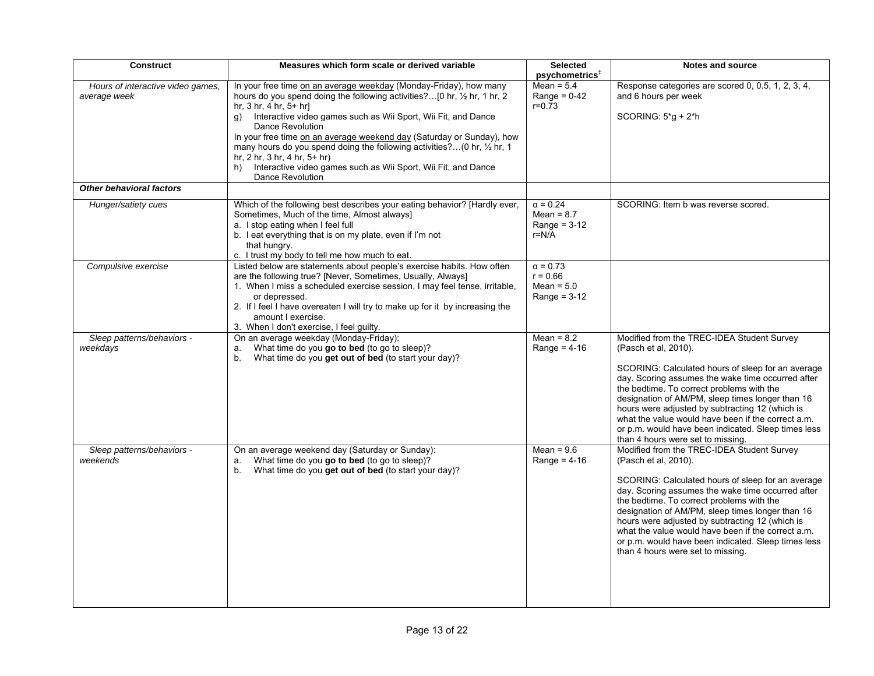| Construct                              | Measures which form scale or derived variable                                                | <b>Selected</b>            | <b>Notes and source</b>                                            |
|----------------------------------------|----------------------------------------------------------------------------------------------|----------------------------|--------------------------------------------------------------------|
|                                        |                                                                                              | psychometrics <sup>#</sup> |                                                                    |
| Hours of interactive video games,      | In your free time on an average weekday (Monday-Friday), how many                            | Mean = $5.4$               | Response categories are scored 0, 0.5, 1, 2, 3, 4,                 |
| average week                           | hours do you spend doing the following activities?[0 hr, 1/2 hr, 1 hr, 2                     | Range = $0-42$             | and 6 hours per week                                               |
|                                        | hr, $3$ hr, $4$ hr, $5+$ hr]                                                                 | $r = 0.73$                 |                                                                    |
|                                        | g) Interactive video games such as Wii Sport, Wii Fit, and Dance                             |                            | SCORING: 5*g + 2*h                                                 |
|                                        | Dance Revolution                                                                             |                            |                                                                    |
|                                        | In your free time on an average weekend day (Saturday or Sunday), how                        |                            |                                                                    |
|                                        | many hours do you spend doing the following activities? (0 hr, 1/2 hr, 1                     |                            |                                                                    |
|                                        | hr, $2$ hr, $3$ hr, $4$ hr, $5+$ hr)                                                         |                            |                                                                    |
|                                        | h) Interactive video games such as Wii Sport, Wii Fit, and Dance                             |                            |                                                                    |
|                                        | Dance Revolution                                                                             |                            |                                                                    |
| <b>Other behavioral factors</b>        |                                                                                              |                            |                                                                    |
| Hunger/satiety cues                    | Which of the following best describes your eating behavior? [Hardly ever,                    | $\alpha = 0.24$            | SCORING: Item b was reverse scored.                                |
|                                        | Sometimes, Much of the time, Almost always]                                                  | Mean = $8.7$               |                                                                    |
|                                        | a. I stop eating when I feel full                                                            | Range = $3-12$             |                                                                    |
|                                        | b. I eat everything that is on my plate, even if I'm not                                     | $r=N/A$                    |                                                                    |
|                                        | that hungry.                                                                                 |                            |                                                                    |
|                                        | c. I trust my body to tell me how much to eat.                                               |                            |                                                                    |
| Compulsive exercise                    | Listed below are statements about people's exercise habits. How often                        | $\alpha = 0.73$            |                                                                    |
|                                        | are the following true? [Never, Sometimes, Usually, Always]                                  | $r = 0.66$                 |                                                                    |
|                                        | 1. When I miss a scheduled exercise session, I may feel tense, irritable,                    | Mean = $5.0$               |                                                                    |
|                                        | or depressed.                                                                                | Range = $3-12$             |                                                                    |
|                                        | 2. If I feel I have overeaten I will try to make up for it by increasing the                 |                            |                                                                    |
|                                        | amount I exercise.                                                                           |                            |                                                                    |
|                                        | 3. When I don't exercise, I feel guilty.                                                     | Mean = $8.2$               |                                                                    |
| Sleep patterns/behaviors -<br>weekdays | On an average weekday (Monday-Friday):<br>What time do you go to bed (to go to sleep)?<br>a. | Range = $4-16$             | Modified from the TREC-IDEA Student Survey<br>(Pasch et al, 2010). |
|                                        | What time do you get out of bed (to start your day)?<br>b.                                   |                            |                                                                    |
|                                        |                                                                                              |                            | SCORING: Calculated hours of sleep for an average                  |
|                                        |                                                                                              |                            | day. Scoring assumes the wake time occurred after                  |
|                                        |                                                                                              |                            | the bedtime. To correct problems with the                          |
|                                        |                                                                                              |                            | designation of AM/PM, sleep times longer than 16                   |
|                                        |                                                                                              |                            | hours were adjusted by subtracting 12 (which is                    |
|                                        |                                                                                              |                            | what the value would have been if the correct a.m.                 |
|                                        |                                                                                              |                            | or p.m. would have been indicated. Sleep times less                |
|                                        |                                                                                              |                            | than 4 hours were set to missing.                                  |
| Sleep patterns/behaviors -             | On an average weekend day (Saturday or Sunday):                                              | $Mean = 9.6$               | Modified from the TREC-IDEA Student Survey                         |
| weekends                               | What time do you go to bed (to go to sleep)?<br>a.                                           | Range = $4-16$             | (Pasch et al. 2010).                                               |
|                                        | What time do you get out of bed (to start your day)?<br>b.                                   |                            |                                                                    |
|                                        |                                                                                              |                            | SCORING: Calculated hours of sleep for an average                  |
|                                        |                                                                                              |                            | day. Scoring assumes the wake time occurred after                  |
|                                        |                                                                                              |                            | the bedtime. To correct problems with the                          |
|                                        |                                                                                              |                            | designation of AM/PM, sleep times longer than 16                   |
|                                        |                                                                                              |                            | hours were adjusted by subtracting 12 (which is                    |
|                                        |                                                                                              |                            | what the value would have been if the correct a.m.                 |
|                                        |                                                                                              |                            | or p.m. would have been indicated. Sleep times less                |
|                                        |                                                                                              |                            | than 4 hours were set to missing.                                  |
|                                        |                                                                                              |                            |                                                                    |
|                                        |                                                                                              |                            |                                                                    |
|                                        |                                                                                              |                            |                                                                    |
|                                        |                                                                                              |                            |                                                                    |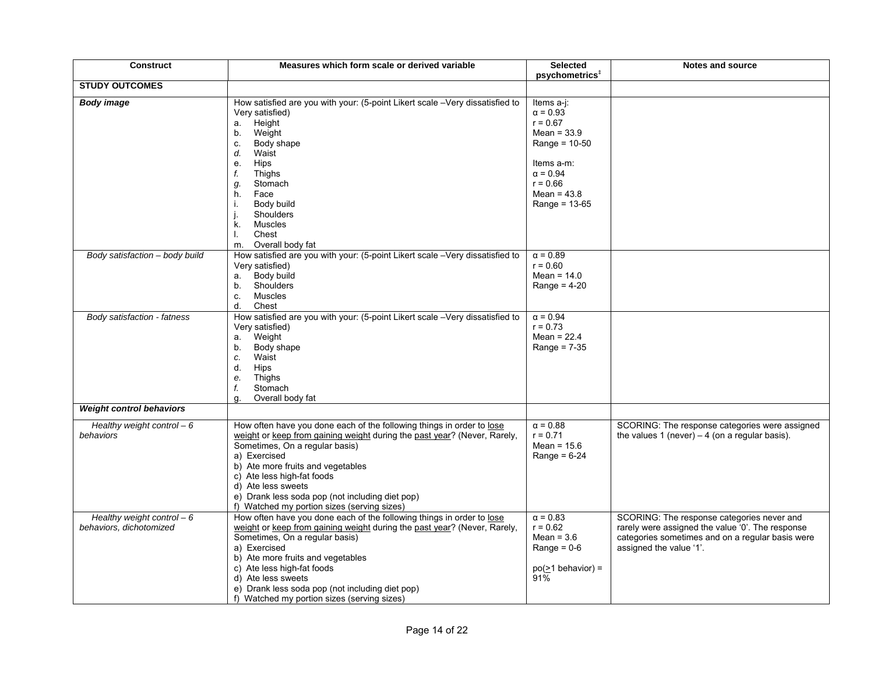| <b>Construct</b>                                       | Measures which form scale or derived variable                                                                                                                                                                                                                                                                                                                                                  | <b>Selected</b><br>psychometrics <sup>+</sup>                                                                                                                      | <b>Notes and source</b>                                                                                                                                                       |
|--------------------------------------------------------|------------------------------------------------------------------------------------------------------------------------------------------------------------------------------------------------------------------------------------------------------------------------------------------------------------------------------------------------------------------------------------------------|--------------------------------------------------------------------------------------------------------------------------------------------------------------------|-------------------------------------------------------------------------------------------------------------------------------------------------------------------------------|
| <b>STUDY OUTCOMES</b>                                  |                                                                                                                                                                                                                                                                                                                                                                                                |                                                                                                                                                                    |                                                                                                                                                                               |
| <b>Body image</b>                                      | How satisfied are you with your: (5-point Likert scale -Very dissatisfied to<br>Very satisfied)<br>Height<br>а.<br>Weight<br>b.<br>Body shape<br>C.<br>Waist<br>d.<br>Hips<br>е.<br>Thighs<br>f.<br>Stomach<br>g.<br>Face<br>h.<br>Body build<br>i.<br>Shoulders<br>Muscles<br>k.<br>Chest<br>I.<br>Overall body fat<br>m.                                                                     | Items a-j:<br>$\alpha = 0.93$<br>$r = 0.67$<br>Mean = $33.9$<br>Range = $10-50$<br>Items a-m:<br>$\alpha = 0.94$<br>$r = 0.66$<br>Mean = $43.8$<br>Range = $13-65$ |                                                                                                                                                                               |
| Body satisfaction - body build                         | How satisfied are you with your: (5-point Likert scale -Very dissatisfied to<br>Very satisfied)<br>Body build<br>a.<br>Shoulders<br>b.<br>Muscles<br>C.<br>d.<br>Chest                                                                                                                                                                                                                         | $\alpha = 0.89$<br>$r = 0.60$<br>Mean = $14.0$<br>Range = $4-20$                                                                                                   |                                                                                                                                                                               |
| Body satisfaction - fatness                            | How satisfied are you with your: (5-point Likert scale -Very dissatisfied to<br>Very satisfied)<br>Weight<br>а.<br>Body shape<br>b.<br>Waist<br>c.<br>Hips<br>d.<br>Thighs<br>е.<br>Stomach<br>f.<br>Overall body fat<br>α.                                                                                                                                                                    | $\alpha = 0.94$<br>$r = 0.73$<br>Mean = $22.4$<br>Range = $7-35$                                                                                                   |                                                                                                                                                                               |
| <b>Weight control behaviors</b>                        |                                                                                                                                                                                                                                                                                                                                                                                                |                                                                                                                                                                    |                                                                                                                                                                               |
| Healthy weight control $-6$<br>behaviors               | How often have you done each of the following things in order to lose<br>weight or keep from gaining weight during the past year? (Never, Rarely,<br>Sometimes, On a regular basis)<br>a) Exercised<br>b) Ate more fruits and vegetables<br>c) Ate less high-fat foods<br>d) Ate less sweets<br>e) Drank less soda pop (not including diet pop)<br>f) Watched my portion sizes (serving sizes) | $\alpha = 0.88$<br>$r = 0.71$<br>Mean = $15.6$<br>Range = $6-24$                                                                                                   | SCORING: The response categories were assigned<br>the values 1 (never) $-4$ (on a regular basis).                                                                             |
| Healthy weight control $-6$<br>behaviors, dichotomized | How often have you done each of the following things in order to lose<br>weight or keep from gaining weight during the past year? (Never, Rarely,<br>Sometimes, On a regular basis)<br>a) Exercised<br>b) Ate more fruits and vegetables<br>c) Ate less high-fat foods<br>d) Ate less sweets<br>e) Drank less soda pop (not including diet pop)<br>f) Watched my portion sizes (serving sizes) | $\alpha = 0.83$<br>$r = 0.62$<br>Mean = $3.6$<br>Range = $0-6$<br>$po(>=1$ behavior) =<br>91%                                                                      | SCORING: The response categories never and<br>rarely were assigned the value '0'. The response<br>categories sometimes and on a regular basis were<br>assigned the value '1'. |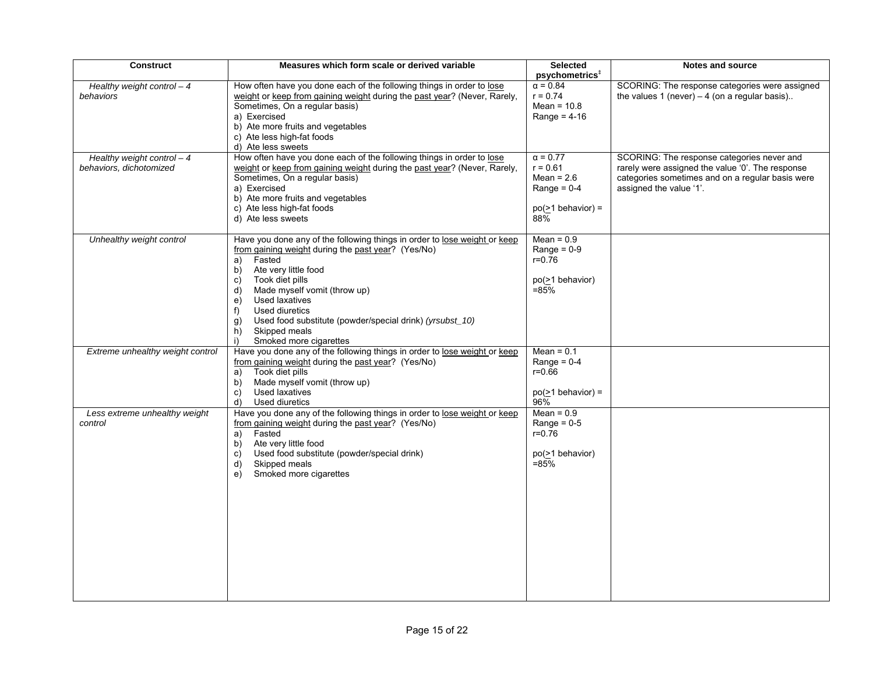| <b>Construct</b>                                       | Measures which form scale or derived variable                                                                                                                                                                                                                                                                                                                                                                         | <b>Selected</b><br>psychometrics <sup>#</sup>                                                    | Notes and source                                                                                                                                                              |
|--------------------------------------------------------|-----------------------------------------------------------------------------------------------------------------------------------------------------------------------------------------------------------------------------------------------------------------------------------------------------------------------------------------------------------------------------------------------------------------------|--------------------------------------------------------------------------------------------------|-------------------------------------------------------------------------------------------------------------------------------------------------------------------------------|
| Healthy weight control $-4$<br>behaviors               | How often have you done each of the following things in order to lose<br>weight or keep from gaining weight during the past year? (Never, Rarely,<br>Sometimes, On a regular basis)<br>a) Exercised<br>b) Ate more fruits and vegetables<br>c) Ate less high-fat foods<br>d) Ate less sweets                                                                                                                          | $\alpha = 0.84$<br>$r = 0.74$<br>Mean = $10.8$<br>Range = $4-16$                                 | SCORING: The response categories were assigned<br>the values 1 (never) $-4$ (on a regular basis)                                                                              |
| Healthy weight control $-4$<br>behaviors, dichotomized | How often have you done each of the following things in order to lose<br>weight or keep from gaining weight during the past year? (Never, Rarely,<br>Sometimes, On a regular basis)<br>a) Exercised<br>b) Ate more fruits and vegetables<br>c) Ate less high-fat foods<br>d) Ate less sweets                                                                                                                          | $\alpha$ = 0.77<br>$r = 0.61$<br>Mean = $2.6$<br>Range = $0-4$<br>$po(\geq 1$ behavior) =<br>88% | SCORING: The response categories never and<br>rarely were assigned the value '0'. The response<br>categories sometimes and on a regular basis were<br>assigned the value '1'. |
| Unhealthy weight control                               | Have you done any of the following things in order to lose weight or keep<br>from gaining weight during the past year? (Yes/No)<br>Fasted<br>a)<br>b)<br>Ate very little food<br>Took diet pills<br>C)<br>d)<br>Made myself vomit (throw up)<br>Used laxatives<br>e)<br>Used diuretics<br>f)<br>Used food substitute (powder/special drink) (yrsubst_10)<br>g)<br>Skipped meals<br>h)<br>i)<br>Smoked more cigarettes | $Mean = 0.9$<br>Range = $0-9$<br>$r = 0.76$<br>po(>1 behavior)<br>$= 85%$                        |                                                                                                                                                                               |
| Extreme unhealthy weight control                       | Have you done any of the following things in order to lose weight or keep<br>from gaining weight during the past year? (Yes/No)<br>Took diet pills<br>a)<br>Made myself vomit (throw up)<br>b)<br>c)<br>Used laxatives<br>d)<br>Used diuretics                                                                                                                                                                        | Mean = $0.1$<br>Range = $0-4$<br>$r = 0.66$<br>$po(\geq 1$ behavior) =<br>96%                    |                                                                                                                                                                               |
| Less extreme unhealthy weight<br>control               | Have you done any of the following things in order to lose weight or keep<br>from gaining weight during the past year? (Yes/No)<br>Fasted<br>a)<br>Ate very little food<br>b)<br>Used food substitute (powder/special drink)<br>C)<br>d)<br>Skipped meals<br>Smoked more cigarettes<br>e)                                                                                                                             | $Mean = 0.9$<br>Range = $0-5$<br>$r = 0.\overline{7}6$<br>po(>1 behavior)<br>$= 85\%$            |                                                                                                                                                                               |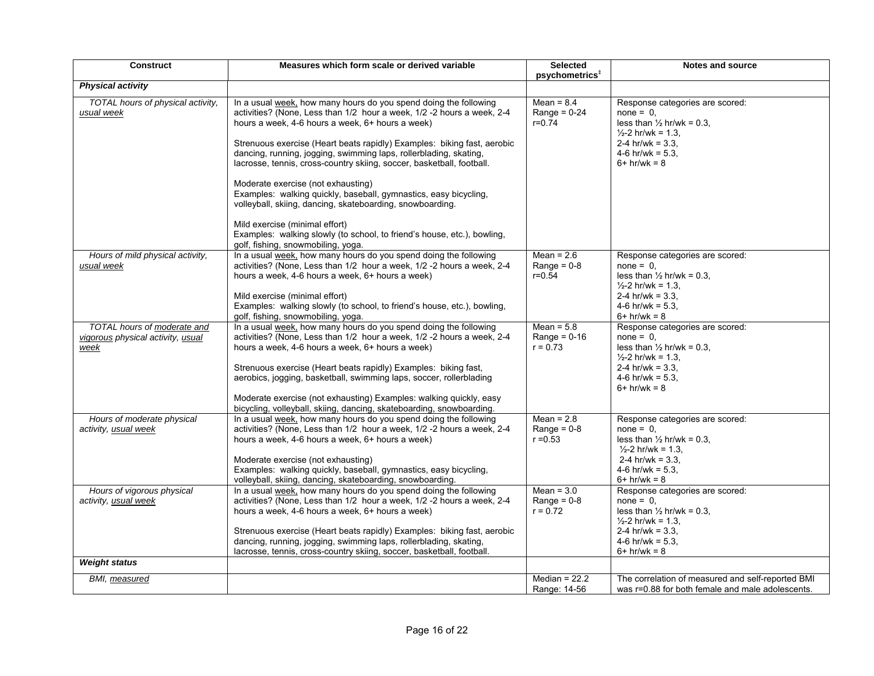| <b>Construct</b>                                                         | Measures which form scale or derived variable                                                                                                                                                                                                                                                                                                                                                                                                                                                                                                                                                                                    | <b>Selected</b><br>psychometrics <sup>‡</sup> | <b>Notes and source</b>                                                                                                                                                                  |
|--------------------------------------------------------------------------|----------------------------------------------------------------------------------------------------------------------------------------------------------------------------------------------------------------------------------------------------------------------------------------------------------------------------------------------------------------------------------------------------------------------------------------------------------------------------------------------------------------------------------------------------------------------------------------------------------------------------------|-----------------------------------------------|------------------------------------------------------------------------------------------------------------------------------------------------------------------------------------------|
| <b>Physical activity</b>                                                 |                                                                                                                                                                                                                                                                                                                                                                                                                                                                                                                                                                                                                                  |                                               |                                                                                                                                                                                          |
| TOTAL hours of physical activity,<br>usual week                          | In a usual week, how many hours do you spend doing the following<br>activities? (None, Less than 1/2 hour a week, 1/2 -2 hours a week, 2-4<br>hours a week, 4-6 hours a week, 6+ hours a week)<br>Strenuous exercise (Heart beats rapidly) Examples: biking fast, aerobic<br>dancing, running, jogging, swimming laps, rollerblading, skating,<br>lacrosse, tennis, cross-country skiing, soccer, basketball, football.<br>Moderate exercise (not exhausting)<br>Examples: walking quickly, baseball, gymnastics, easy bicycling,<br>volleyball, skiing, dancing, skateboarding, snowboarding.<br>Mild exercise (minimal effort) | $Mean = 8.4$<br>Range = $0-24$<br>$r = 0.74$  | Response categories are scored:<br>$none = 0$ ,<br>less than $\frac{1}{2}$ hr/wk = 0.3,<br>$\frac{1}{2}$ -2 hr/wk = 1.3.<br>2-4 hr/wk = $3.3$ .<br>4-6 hr/wk = $5.3$ ,<br>$6+$ hr/wk = 8 |
|                                                                          | Examples: walking slowly (to school, to friend's house, etc.), bowling,<br>golf, fishing, snowmobiling, yoga.                                                                                                                                                                                                                                                                                                                                                                                                                                                                                                                    |                                               |                                                                                                                                                                                          |
| Hours of mild physical activity,<br>usual week                           | In a usual week, how many hours do you spend doing the following<br>activities? (None, Less than 1/2 hour a week, 1/2 -2 hours a week, 2-4<br>hours a week, 4-6 hours a week, 6+ hours a week)<br>Mild exercise (minimal effort)<br>Examples: walking slowly (to school, to friend's house, etc.), bowling,                                                                                                                                                                                                                                                                                                                      | Mean = $2.6$<br>Range = $0-8$<br>$r = 0.54$   | Response categories are scored:<br>$none = 0$ ,<br>less than $\frac{1}{2}$ hr/wk = 0.3,<br>$\frac{1}{2}$ -2 hr/wk = 1.3,<br>2-4 hr/wk = $3.3$ .<br>4-6 hr/wk = $5.3$                     |
|                                                                          | golf, fishing, snowmobiling, yoga.                                                                                                                                                                                                                                                                                                                                                                                                                                                                                                                                                                                               |                                               | $6+$ hr/wk = 8                                                                                                                                                                           |
| TOTAL hours of moderate and<br>vigorous physical activity, usual<br>week | In a usual week, how many hours do you spend doing the following<br>activities? (None, Less than 1/2 hour a week, 1/2 -2 hours a week, 2-4<br>hours a week, 4-6 hours a week, 6+ hours a week)<br>Strenuous exercise (Heart beats rapidly) Examples: biking fast,<br>aerobics, jogging, basketball, swimming laps, soccer, rollerblading<br>Moderate exercise (not exhausting) Examples: walking quickly, easy<br>bicycling, volleyball, skiing, dancing, skateboarding, snowboarding.                                                                                                                                           | Mean = $5.8$<br>Range = $0-16$<br>$r = 0.73$  | Response categories are scored:<br>$none = 0.$<br>less than $\frac{1}{2}$ hr/wk = 0.3,<br>$\frac{1}{2}$ -2 hr/wk = 1.3,<br>2-4 hr/wk = $3.3$<br>4-6 hr/wk = $5.3$<br>$6+$ hr/wk = 8      |
| Hours of moderate physical<br>activity, usual week                       | In a usual week, how many hours do you spend doing the following<br>activities? (None, Less than 1/2 hour a week, 1/2 -2 hours a week, 2-4<br>hours a week, 4-6 hours a week, 6+ hours a week)<br>Moderate exercise (not exhausting)<br>Examples: walking quickly, baseball, gymnastics, easy bicycling,<br>volleyball, skiing, dancing, skateboarding, snowboarding.                                                                                                                                                                                                                                                            | Mean = $2.8$<br>Range = $0-8$<br>$r = 0.53$   | Response categories are scored:<br>$none = 0.$<br>less than $\frac{1}{2}$ hr/wk = 0.3,<br>$\frac{1}{2}$ -2 hr/wk = 1.3,<br>2-4 hr/wk = $3.3$<br>4-6 hr/wk = $5.3$ .<br>$6+$ hr/wk = 8    |
| Hours of vigorous physical<br>activity, usual week                       | In a usual week, how many hours do you spend doing the following<br>activities? (None, Less than 1/2 hour a week, 1/2 -2 hours a week, 2-4<br>hours a week, 4-6 hours a week, 6+ hours a week)<br>Strenuous exercise (Heart beats rapidly) Examples: biking fast, aerobic<br>dancing, running, jogging, swimming laps, rollerblading, skating,<br>lacrosse, tennis, cross-country skiing, soccer, basketball, football.                                                                                                                                                                                                          | Mean = $3.0$<br>Range = $0-8$<br>$r = 0.72$   | Response categories are scored:<br>$none = 0$ ,<br>less than $\frac{1}{2}$ hr/wk = 0.3,<br>$\frac{1}{2}$ -2 hr/wk = 1.3,<br>2-4 hr/wk = $3.3$ .<br>4-6 hr/wk = $5.3$ ,<br>$6+$ hr/wk = 8 |
| <b>Weight status</b>                                                     |                                                                                                                                                                                                                                                                                                                                                                                                                                                                                                                                                                                                                                  |                                               |                                                                                                                                                                                          |
| BMI, measured                                                            |                                                                                                                                                                                                                                                                                                                                                                                                                                                                                                                                                                                                                                  | Median = $22.2$<br>Range: 14-56               | The correlation of measured and self-reported BMI<br>was r=0.88 for both female and male adolescents.                                                                                    |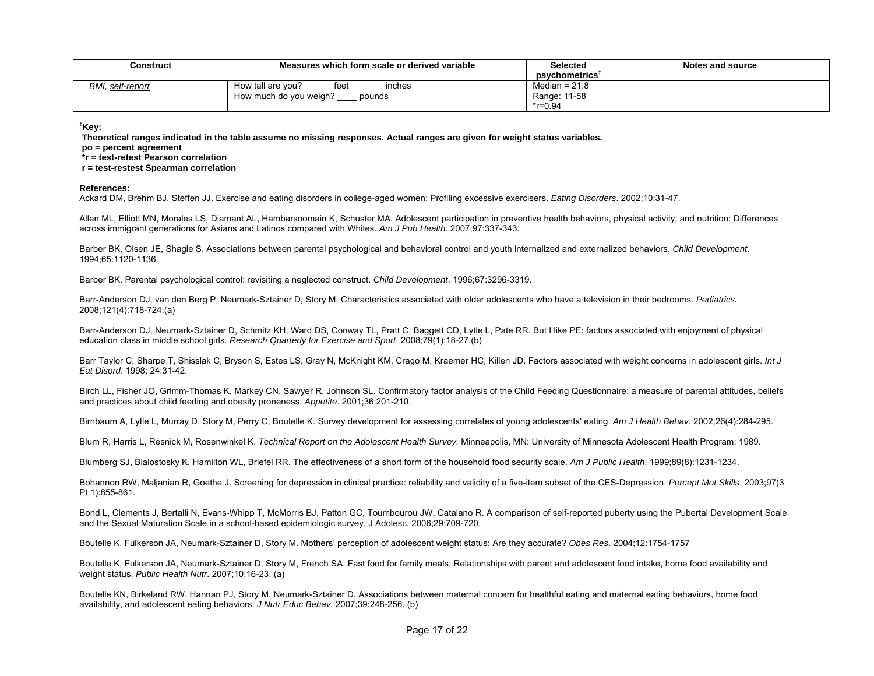| Construct        | Measures which form scale or derived variable | Selected<br>psychometrics <sup>+</sup> | Notes and source |
|------------------|-----------------------------------------------|----------------------------------------|------------------|
| BMI, self-report | How tall are vou?<br>feet<br>inches           | Median = $21.8$                        |                  |
|                  | How much do you weigh?<br>pounds              | Range: 11-58                           |                  |
|                  |                                               | $*$ r=0.94                             |                  |

**‡Key:** 

 **Theoretical ranges indicated in the table assume no missing responses. Actual ranges are given for weight status variables.** 

 **po = percent agreement** 

 **\*r = test-retest Pearson correlation** 

 **r = test-restest Spearman correlation** 

## **References:**

Ackard DM, Brehm BJ, Steffen JJ. Exercise and eating disorders in college-aged women: Profiling excessive exercisers. *Eating Disorders*. 2002;10:31-47.

Allen ML, Elliott MN, Morales LS, Diamant AL, Hambarsoomain K, Schuster MA. Adolescent participation in preventive health behaviors, physical activity, and nutrition: Differences across immigrant generations for Asians and Latinos compared with Whites. *Am J Pub Health*. 2007;97:337-343.

Barber BK, Olsen JE, Shagle S. Associations between parental psychological and behavioral control and youth internalized and externalized behaviors. *Child Development*. 1994;65:1120-1136.

Barber BK. Parental psychological control: revisiting a neglected construct. *Child Development*. 1996;67:3296-3319.

Barr-Anderson DJ, van den Berg P, Neumark-Sztainer D, Story M. Characteristics associated with older adolescents who have a television in their bedrooms. *Pediatrics.* 2008;121(4):718-724.(a)

Barr-Anderson DJ, Neumark-Sztainer D, Schmitz KH, Ward DS, Conway TL, Pratt C, Baggett CD, Lytle L, Pate RR. But I like PE: factors associated with enjoyment of physical education class in middle school girls. *Research Quarterly for Exercise and Sport*. 2008;79(1):18-27.(b)

Barr Taylor C, Sharpe T, Shisslak C, Bryson S, Estes LS, Gray N, McKnight KM, Crago M, Kraemer HC, Killen JD. Factors associated with weight concerns in adolescent girls. *Int J Eat Disord*. 1998; 24:31-42.

Birch LL, Fisher JO, Grimm-Thomas K, Markey CN, Sawyer R, Johnson SL. Confirmatory factor analysis of the Child Feeding Questionnaire: a measure of parental attitudes, beliefs and practices about child feeding and obesity proneness. *Appetite*. 2001;36:201-210.

Birnbaum A, Lytle L, Murray D, Story M, Perry C, Boutelle K. Survey development for assessing correlates of young adolescents' eating. *Am J Health Behav.* 2002;26(4):284-295.

Blum R, Harris L, Resnick M, Rosenwinkel K. *Technical Report on the Adolescent Health Survey.* Minneapolis, MN: University of Minnesota Adolescent Health Program; 1989.

Blumberg SJ, Bialostosky K, Hamilton WL, Briefel RR. The effectiveness of a short form of the household food security scale. *Am J Public Health*. 1999;89(8):1231-1234.

Bohannon RW, Maljanian R, Goethe J. Screening for depression in clinical practice: reliability and validity of a five-item subset of the CES-Depression. *Percept Mot Skills*. 2003;97(3 Pt 1):855-861.

Bond L, Clements J, Bertalli N, Evans-Whipp T, McMorris BJ, Patton GC, Toumbourou JW, Catalano R. A comparison of self-reported puberty using the Pubertal Development Scale and the Sexual Maturation Scale in a school-based epidemiologic survey. J Adolesc. 2006;29:709-720.

Boutelle K, Fulkerson JA, Neumark-Sztainer D, Story M. Mothers' perception of adolescent weight status: Are they accurate? *Obes Res*. 2004;12:1754-1757

Boutelle K, Fulkerson JA, Neumark-Sztainer D, Story M, French SA. Fast food for family meals: Relationships with parent and adolescent food intake, home food availability and weight status. *Public Health Nutr*. 2007;10:16-23. (a)

Boutelle KN, Birkeland RW, Hannan PJ, Story M, Neumark-Sztainer D. Associations between maternal concern for healthful eating and maternal eating behaviors, home food availability, and adolescent eating behaviors. *J Nutr Educ Behav.* 2007;39:248-256. (b)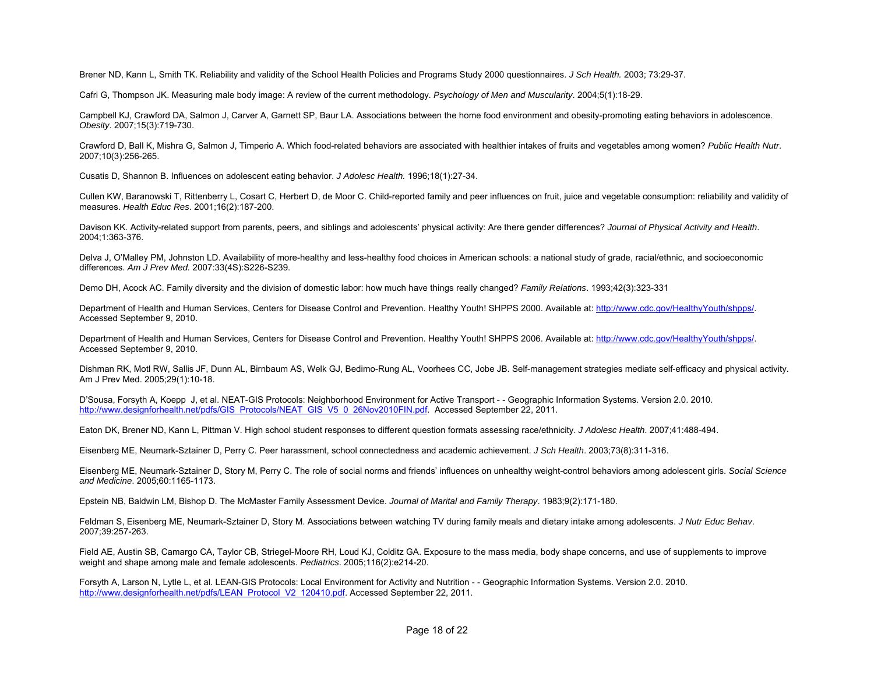Brener ND, Kann L, Smith TK. Reliability and validity of the School Health Policies and Programs Study 2000 questionnaires. *J Sch Health.* 2003; 73:29-37.

Cafri G, Thompson JK. Measuring male body image: A review of the current methodology. *Psychology of Men and Muscularity*. 2004;5(1):18-29.

Campbell KJ, Crawford DA, Salmon J, Carver A, Garnett SP, Baur LA. Associations between the home food environment and obesity-promoting eating behaviors in adolescence. *Obesity*. 2007;15(3):719-730.

Crawford D, Ball K, Mishra G, Salmon J, Timperio A. Which food-related behaviors are associated with healthier intakes of fruits and vegetables among women? *Public Health Nutr*. 2007;10(3):256-265.

Cusatis D, Shannon B. Influences on adolescent eating behavior. *J Adolesc Health.* 1996;18(1):27-34.

Cullen KW, Baranowski T, Rittenberry L, Cosart C, Herbert D, de Moor C. Child-reported family and peer influences on fruit, juice and vegetable consumption: reliability and validity of measures. *Health Educ Res*. 2001;16(2):187-200.

Davison KK. Activity-related support from parents, peers, and siblings and adolescents' physical activity: Are there gender differences? *Journal of Physical Activity and Health*. 2004;1:363-376.

Delva J, O'Malley PM, Johnston LD. Availability of more-healthy and less-healthy food choices in American schools: a national study of grade, racial/ethnic, and socioeconomic differences. *Am J Prev Med.* 2007:33(4S):S226-S239.

Demo DH, Acock AC. Family diversity and the division of domestic labor: how much have things really changed? *Family Relations*. 1993;42(3):323-331

Department of Health and Human Services, Centers for Disease Control and Prevention. Healthy Youth! SHPPS 2000. Available at: http://www.cdc.gov/HealthyYouth/shpps/. Accessed September 9, 2010.

Department of Health and Human Services, Centers for Disease Control and Prevention. Healthy Youth! SHPPS 2006. Available at: http://www.cdc.gov/HealthyYouth/shpps/. Accessed September 9, 2010.

Dishman RK, Motl RW, Sallis JF, Dunn AL, Birnbaum AS, Welk GJ, Bedimo-Rung AL, Voorhees CC, Jobe JB. Self-management strategies mediate self-efficacy and physical activity. Am J Prev Med. 2005;29(1):10-18.

D'Sousa, Forsyth A, Koepp J, et al. NEAT-GIS Protocols: Neighborhood Environment for Active Transport - - Geographic Information Systems. Version 2.0. 2010. http://www.designforhealth.net/pdfs/GIS\_Protocols/NEAT\_GIS\_V5\_0\_26Nov2010FIN.pdf. Accessed September 22, 2011.

Eaton DK, Brener ND, Kann L, Pittman V. High school student responses to different question formats assessing race/ethnicity. *J Adolesc Health*. 2007;41:488-494.

Eisenberg ME, Neumark-Sztainer D, Perry C. Peer harassment, school connectedness and academic achievement. *J Sch Health*. 2003;73(8):311-316.

Eisenberg ME, Neumark-Sztainer D, Story M, Perry C. The role of social norms and friends' influences on unhealthy weight-control behaviors among adolescent girls. *Social Science and Medicine*. 2005;60:1165-1173.

Epstein NB, Baldwin LM, Bishop D. The McMaster Family Assessment Device. *Journal of Marital and Family Therapy*. 1983;9(2):171-180.

Feldman S, Eisenberg ME, Neumark-Sztainer D, Story M. Associations between watching TV during family meals and dietary intake among adolescents. *J Nutr Educ Behav*. 2007;39:257-263.

Field AE, Austin SB, Camargo CA, Taylor CB, Striegel-Moore RH, Loud KJ, Colditz GA. Exposure to the mass media, body shape concerns, and use of supplements to improve weight and shape among male and female adolescents. *Pediatrics*. 2005;116(2):e214-20.

Forsyth A, Larson N, Lytle L, et al. LEAN-GIS Protocols: Local Environment for Activity and Nutrition - - Geographic Information Systems. Version 2.0. 2010. http://www.designforhealth.net/pdfs/LEAN\_Protocol\_V2\_120410.pdf. Accessed September 22, 2011.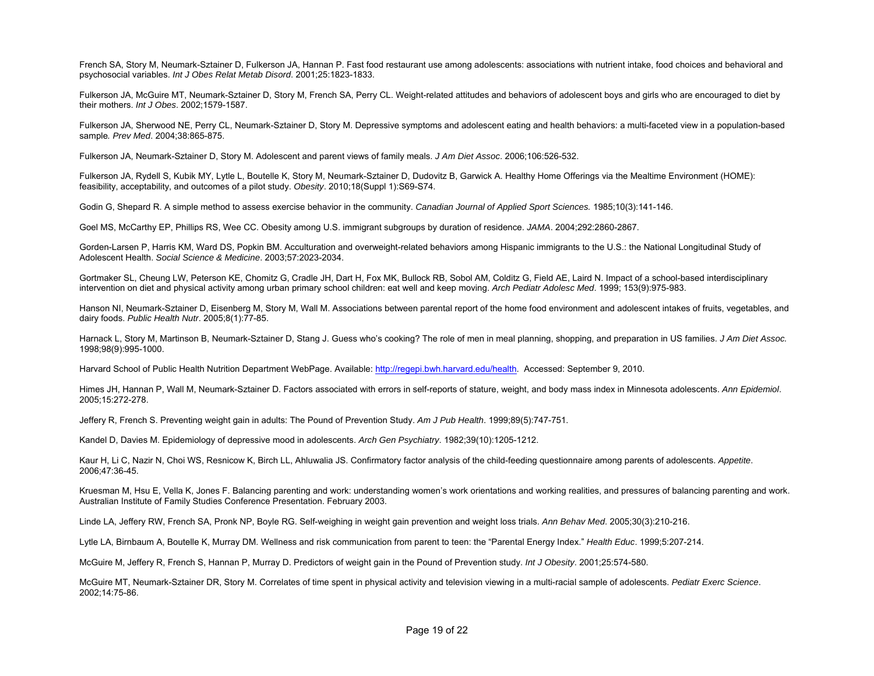French SA, Story M, Neumark-Sztainer D, Fulkerson JA, Hannan P. Fast food restaurant use among adolescents: associations with nutrient intake, food choices and behavioral and psychosocial variables. *Int J Obes Relat Metab Disord*. 2001;25:1823-1833.

Fulkerson JA, McGuire MT, Neumark-Sztainer D, Story M, French SA, Perry CL. Weight-related attitudes and behaviors of adolescent boys and girls who are encouraged to diet by their mothers. *Int J Obes*. 2002;1579-1587.

Fulkerson JA, Sherwood NE, Perry CL, Neumark-Sztainer D, Story M. Depressive symptoms and adolescent eating and health behaviors: a multi-faceted view in a population-based sample*. Prev Med*. 2004;38:865-875.

Fulkerson JA, Neumark-Sztainer D, Story M. Adolescent and parent views of family meals. *J Am Diet Assoc*. 2006;106:526-532.

Fulkerson JA, Rydell S, Kubik MY, Lytle L, Boutelle K, Story M, Neumark-Sztainer D, Dudovitz B, Garwick A. Healthy Home Offerings via the Mealtime Environment (HOME): feasibility, acceptability, and outcomes of a pilot study. *Obesity*. 2010;18(Suppl 1):S69-S74.

Godin G, Shepard R. A simple method to assess exercise behavior in the community. *Canadian Journal of Applied Sport Sciences.* 1985;10(3):141-146.

Goel MS, McCarthy EP, Phillips RS, Wee CC. Obesity among U.S. immigrant subgroups by duration of residence. *JAMA*. 2004;292:2860-2867.

Gorden-Larsen P, Harris KM, Ward DS, Popkin BM. Acculturation and overweight-related behaviors among Hispanic immigrants to the U.S.: the National Longitudinal Study of Adolescent Health. *Social Science & Medicine*. 2003;57:2023-2034.

Gortmaker SL, Cheung LW, Peterson KE, Chomitz G, Cradle JH, Dart H, Fox MK, Bullock RB, Sobol AM, Colditz G, Field AE, Laird N. Impact of a school-based interdisciplinary intervention on diet and physical activity among urban primary school children: eat well and keep moving. *Arch Pediatr Adolesc Med*. 1999; 153(9):975-983.

Hanson NI, Neumark-Sztainer D, Eisenberg M, Story M, Wall M. Associations between parental report of the home food environment and adolescent intakes of fruits, vegetables, and dairy foods. *Public Health Nutr*. 2005;8(1):77-85.

Harnack L, Story M, Martinson B, Neumark-Sztainer D, Stang J. Guess who's cooking? The role of men in meal planning, shopping, and preparation in US families. *J Am Diet Assoc.* 1998;98(9):995-1000.

Harvard School of Public Health Nutrition Department WebPage. Available: http://regepi.bwh.harvard.edu/health. Accessed: September 9, 2010.

Himes JH, Hannan P, Wall M, Neumark-Sztainer D. Factors associated with errors in self-reports of stature, weight, and body mass index in Minnesota adolescents. *Ann Epidemiol*. 2005;15:272-278.

Jeffery R, French S. Preventing weight gain in adults: The Pound of Prevention Study. *Am J Pub Health*. 1999;89(5):747-751.

Kandel D, Davies M. Epidemiology of depressive mood in adolescents. *Arch Gen Psychiatry*. 1982;39(10):1205-1212.

Kaur H, Li C, Nazir N, Choi WS, Resnicow K, Birch LL, Ahluwalia JS. Confirmatory factor analysis of the child-feeding questionnaire among parents of adolescents. *Appetite*. 2006;47:36-45.

Kruesman M, Hsu E, Vella K, Jones F, Balancing parenting and work: understanding women's work orientations and working realities, and pressures of balancing parenting and work. Australian Institute of Family Studies Conference Presentation. February 2003.

Linde LA, Jeffery RW, French SA, Pronk NP, Boyle RG. Self-weighing in weight gain prevention and weight loss trials. *Ann Behav Med*. 2005;30(3):210-216.

Lytle LA, Birnbaum A, Boutelle K, Murray DM. Wellness and risk communication from parent to teen: the "Parental Energy Index." *Health Educ*. 1999;5:207-214.

McGuire M, Jeffery R, French S, Hannan P, Murray D. Predictors of weight gain in the Pound of Prevention study. *Int J Obesity*. 2001;25:574-580.

McGuire MT, Neumark-Sztainer DR, Story M. Correlates of time spent in physical activity and television viewing in a multi-racial sample of adolescents. *Pediatr Exerc Science*. 2002;14:75-86.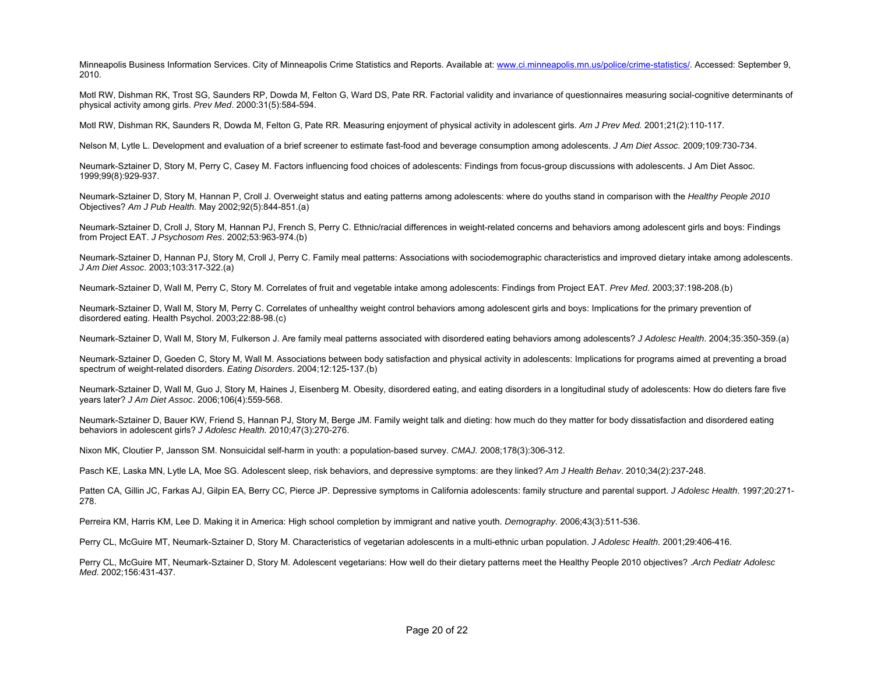Minneapolis Business Information Services. City of Minneapolis Crime Statistics and Reports. Available at: www.ci.minneapolis.mn.us/police/crime-statistics/. Accessed: September 9, 2010.

Motl RW, Dishman RK, Trost SG, Saunders RP, Dowda M, Felton G, Ward DS, Pate RR. Factorial validity and invariance of questionnaires measuring social-cognitive determinants of physical activity among girls. *Prev Med*. 2000:31(5):584-594.

Motl RW, Dishman RK, Saunders R, Dowda M, Felton G, Pate RR. Measuring enjoyment of physical activity in adolescent girls. *Am J Prev Med.* 2001;21(2):110-117.

Nelson M, Lytle L. Development and evaluation of a brief screener to estimate fast-food and beverage consumption among adolescents. *J Am Diet Assoc.* 2009;109:730-734.

Neumark-Sztainer D, Story M, Perry C, Casey M. Factors influencing food choices of adolescents: Findings from focus-group discussions with adolescents. J Am Diet Assoc. 1999;99(8):929-937.

Neumark-Sztainer D, Story M, Hannan P, Croll J. Overweight status and eating patterns among adolescents: where do youths stand in comparison with the *Healthy People 2010* Objectives? *Am J Pub Health.* May 2002;92(5):844-851.(a)

Neumark-Sztainer D, Croll J, Story M, Hannan PJ, French S, Perry C. Ethnic/racial differences in weight-related concerns and behaviors among adolescent girls and boys: Findings from Project EAT. *J Psychosom Res*. 2002;53:963-974.(b)

Neumark-Sztainer D, Hannan PJ, Story M, Croll J, Perry C. Family meal patterns: Associations with sociodemographic characteristics and improved dietary intake among adolescents. *J Am Diet Assoc*. 2003;103:317-322.(a)

Neumark-Sztainer D, Wall M, Perry C, Story M. Correlates of fruit and vegetable intake among adolescents: Findings from Project EAT. *Prev Med*. 2003;37:198-208.(b)

Neumark-Sztainer D, Wall M, Story M, Perry C. Correlates of unhealthy weight control behaviors among adolescent girls and boys: Implications for the primary prevention of disordered eating. Health Psychol. 2003;22:88-98.(c)

Neumark-Sztainer D, Wall M, Story M, Fulkerson J. Are family meal patterns associated with disordered eating behaviors among adolescents? *J Adolesc Health*. 2004;35:350-359.(a)

Neumark-Sztainer D, Goeden C, Story M, Wall M. Associations between body satisfaction and physical activity in adolescents: Implications for programs aimed at preventing a broad spectrum of weight-related disorders. *Eating Disorders*. 2004;12:125-137.(b)

Neumark-Sztainer D, Wall M, Guo J, Story M, Haines J, Eisenberg M. Obesity, disordered eating, and eating disorders in a longitudinal study of adolescents: How do dieters fare five years later? *J Am Diet Assoc*. 2006;106(4):559-568.

Neumark-Sztainer D. Bauer KW, Friend S, Hannan PJ, Story M, Berge JM. Family weight talk and dieting: how much do they matter for body dissatisfaction and disordered eating behaviors in adolescent girls? *J Adolesc Health.* 2010;47(3):270-276.

Nixon MK, Cloutier P, Jansson SM. Nonsuicidal self-harm in youth: a population-based survey. *CMAJ.* 2008;178(3):306-312.

Pasch KE, Laska MN, Lytle LA, Moe SG. Adolescent sleep, risk behaviors, and depressive symptoms: are they linked? *Am J Health Behav*. 2010;34(2):237-248.

Patten CA, Gillin JC, Farkas AJ, Gilpin EA, Berry CC, Pierce JP. Depressive symptoms in California adolescents: family structure and parental support. *J Adolesc Health*. 1997;20:271- 278.

Perreira KM, Harris KM, Lee D. Making it in America: High school completion by immigrant and native youth. *Demography*. 2006;43(3):511-536.

Perry CL, McGuire MT, Neumark-Sztainer D, Story M. Characteristics of vegetarian adolescents in a multi-ethnic urban population. *J Adolesc Health*. 2001;29:406-416.

Perry CL, McGuire MT, Neumark-Sztainer D, Story M. Adolescent vegetarians: How well do their dietary patterns meet the Healthy People 2010 objectives? .*Arch Pediatr Adolesc Med*. 2002;156:431-437.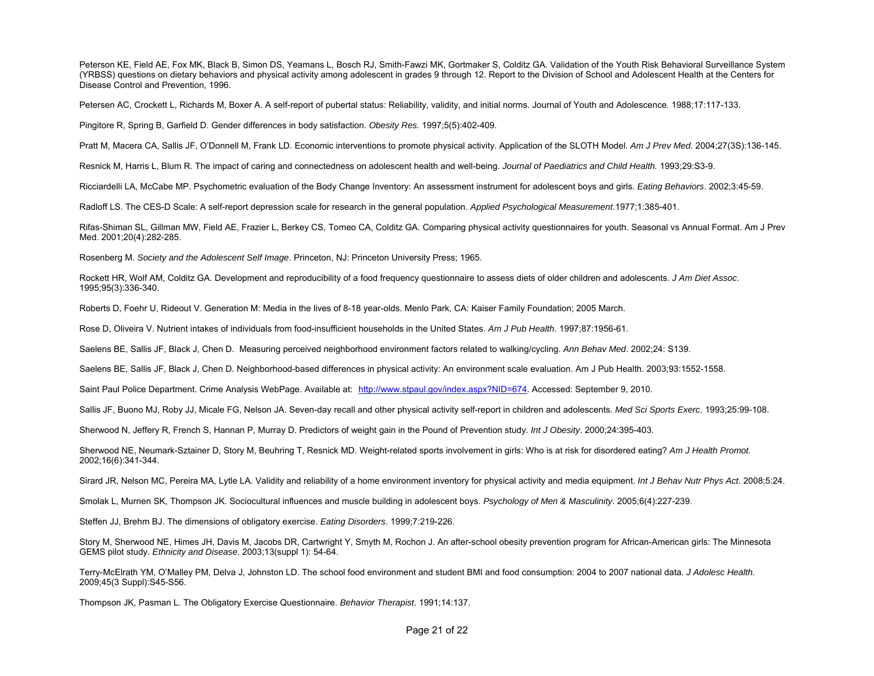Peterson KE, Field AE, Fox MK, Black B, Simon DS, Yeamans L, Bosch RJ, Smith-Fawzi MK, Gortmaker S, Colditz GA, Validation of the Youth Risk Behavioral Surveillance System (YRBSS) questions on dietary behaviors and physical activity among adolescent in grades 9 through 12. Report to the Division of School and Adolescent Health at the Centers for Disease Control and Prevention, 1996.

Petersen AC, Crockett L, Richards M, Boxer A. A self-report of pubertal status: Reliability, validity, and initial norms. Journal of Youth and Adolescence. 1988;17:117-133.

Pingitore R, Spring B, Garfield D. Gender differences in body satisfaction. *Obesity Res.* 1997;5(5):402-409.

Pratt M, Macera CA, Sallis JF, O'Donnell M, Frank LD. Economic interventions to promote physical activity. Application of the SLOTH Model. *Am J Prev Med*. 2004;27(3S):136-145.

Resnick M, Harris L, Blum R. The impact of caring and connectedness on adolescent health and well-being. *Journal of Paediatrics and Child Health.* 1993;29:S3-9.

Ricciardelli LA, McCabe MP. Psychometric evaluation of the Body Change Inventory: An assessment instrument for adolescent boys and girls. *Eating Behaviors*. 2002;3:45-59.

Radloff LS. The CES-D Scale: A self-report depression scale for research in the general population. *Applied Psychological Measurement*.1977;1:385-401.

Rifas-Shiman SL, Gillman MW, Field AE, Frazier L, Berkey CS, Tomeo CA, Colditz GA. Comparing physical activity questionnaires for youth. Seasonal vs Annual Format. Am J Prev Med. 2001;20(4):282-285.

Rosenberg M. *Society and the Adolescent Self Image*. Princeton, NJ: Princeton University Press; 1965.

Rockett HR, Wolf AM, Colditz GA. Development and reproducibility of a food frequency questionnaire to assess diets of older children and adolescents. *J Am Diet Assoc.* 1995;95(3):336-340.

Roberts D, Foehr U, Rideout V. Generation M: Media in the lives of 8-18 year-olds. Menlo Park, CA: Kaiser Family Foundation; 2005 March.

Rose D, Oliveira V. Nutrient intakes of individuals from food-insufficient households in the United States. *Am J Pub Health*. 1997;87:1956-61.

Saelens BE, Sallis JF, Black J, Chen D. Measuring perceived neighborhood environment factors related to walking/cycling. *Ann Behav Med*. 2002;24: S139.

Saelens BE, Sallis JF, Black J, Chen D. Neighborhood-based differences in physical activity: An environment scale evaluation. Am J Pub Health. 2003;93:1552-1558.

Saint Paul Police Department. Crime Analysis WebPage. Available at: http://www.stpaul.gov/index.aspx?NID=674. Accessed: September 9, 2010.

Sallis JF, Buono MJ, Roby JJ, Micale FG, Nelson JA. Seven-day recall and other physical activity self-report in children and adolescents. *Med Sci Sports Exerc*. 1993;25:99-108.

Sherwood N, Jeffery R, French S, Hannan P, Murray D. Predictors of weight gain in the Pound of Prevention study. *Int J Obesity*. 2000;24:395-403.

Sherwood NE, Neumark-Sztainer D, Story M, Beuhring T, Resnick MD. Weight-related sports involvement in girls: Who is at risk for disordered eating? *Am J Health Promot.*  2002;16(6):341-344.

Sirard JR, Nelson MC, Pereira MA, Lytle LA. Validity and reliability of a home environment inventory for physical activity and media equipment. *Int J Behav Nutr Phys Act*. 2008;5:24.

Smolak L, Murnen SK, Thompson JK. Sociocultural influences and muscle building in adolescent boys. *Psychology of Men & Masculinity*. 2005;6(4):227-239.

Steffen JJ, Brehm BJ. The dimensions of obligatory exercise. *Eating Disorders*. 1999;7:219-226.

Story M, Sherwood NE, Himes JH, Davis M, Jacobs DR, Cartwright Y, Smyth M, Rochon J. An after-school obesity prevention program for African-American girls: The Minnesota GEMS pilot study. *Ethnicity and Disease*. 2003;13(suppl 1): 54-64.

Terry-McElrath YM, O'Malley PM, Delva J, Johnston LD. The school food environment and student BMI and food consumption: 2004 to 2007 national data. *J Adolesc Health.* 2009;45(3 Suppl):S45-S56.

Thompson JK, Pasman L. The Obligatory Exercise Questionnaire. *Behavior Therapist*. 1991;14:137.